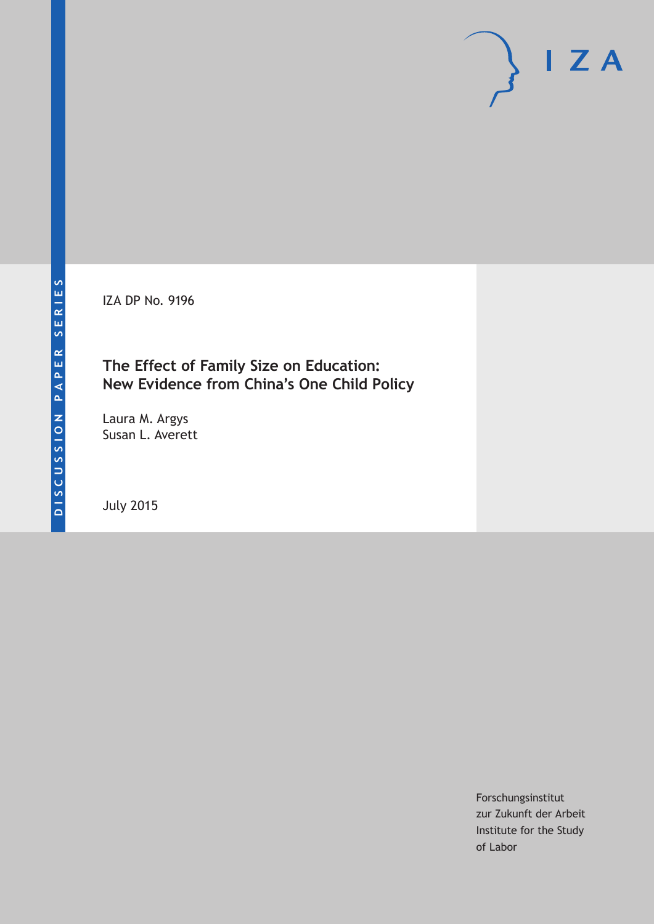IZA DP No. 9196

## **The Effect of Family Size on Education: New Evidence from China's One Child Policy**

Laura M. Argys Susan L. Averett

July 2015

Forschungsinstitut zur Zukunft der Arbeit Institute for the Study of Labor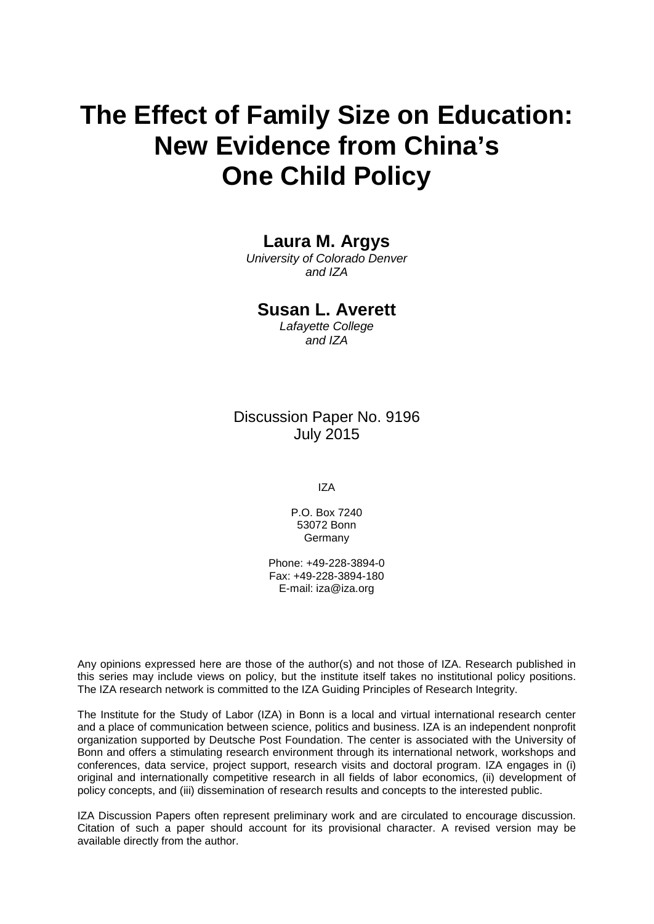# **The Effect of Family Size on Education: New Evidence from China's One Child Policy**

### **Laura M. Argys**

*University of Colorado Denver and IZA*

### **Susan L. Averett**

*Lafayette College and IZA*

### Discussion Paper No. 9196 July 2015

IZA

P.O. Box 7240 53072 Bonn Germany

Phone: +49-228-3894-0 Fax: +49-228-3894-180 E-mail: iza@iza.org

Any opinions expressed here are those of the author(s) and not those of IZA. Research published in this series may include views on policy, but the institute itself takes no institutional policy positions. The IZA research network is committed to the IZA Guiding Principles of Research Integrity.

The Institute for the Study of Labor (IZA) in Bonn is a local and virtual international research center and a place of communication between science, politics and business. IZA is an independent nonprofit organization supported by Deutsche Post Foundation. The center is associated with the University of Bonn and offers a stimulating research environment through its international network, workshops and conferences, data service, project support, research visits and doctoral program. IZA engages in (i) original and internationally competitive research in all fields of labor economics, (ii) development of policy concepts, and (iii) dissemination of research results and concepts to the interested public.

<span id="page-1-0"></span>IZA Discussion Papers often represent preliminary work and are circulated to encourage discussion. Citation of such a paper should account for its provisional character. A revised version may be available directly from the author.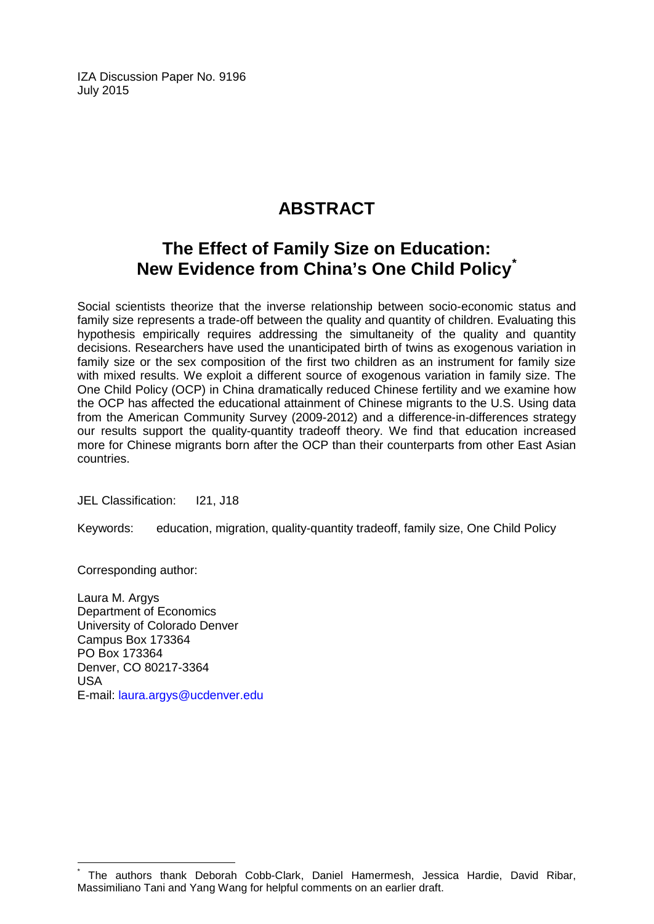IZA Discussion Paper No. 9196 July 2015

# **ABSTRACT**

# **The Effect of Family Size on Education: New Evidence from China's One Child Policy[\\*](#page-1-0)**

Social scientists theorize that the inverse relationship between socio-economic status and family size represents a trade-off between the quality and quantity of children. Evaluating this hypothesis empirically requires addressing the simultaneity of the quality and quantity decisions. Researchers have used the unanticipated birth of twins as exogenous variation in family size or the sex composition of the first two children as an instrument for family size with mixed results. We exploit a different source of exogenous variation in family size. The One Child Policy (OCP) in China dramatically reduced Chinese fertility and we examine how the OCP has affected the educational attainment of Chinese migrants to the U.S. Using data from the American Community Survey (2009-2012) and a difference-in-differences strategy our results support the quality-quantity tradeoff theory. We find that education increased more for Chinese migrants born after the OCP than their counterparts from other East Asian countries.

JEL Classification: I21, J18

Keywords: education, migration, quality-quantity tradeoff, family size, One Child Policy

Corresponding author:

Laura M. Argys Department of Economics University of Colorado Denver Campus Box 173364 PO Box 173364 Denver, CO 80217-3364 USA E-mail: [laura.argys@ucdenver.edu](mailto:laura.argys@ucdenver.edu)

The authors thank Deborah Cobb-Clark, Daniel Hamermesh, Jessica Hardie, David Ribar, Massimiliano Tani and Yang Wang for helpful comments on an earlier draft.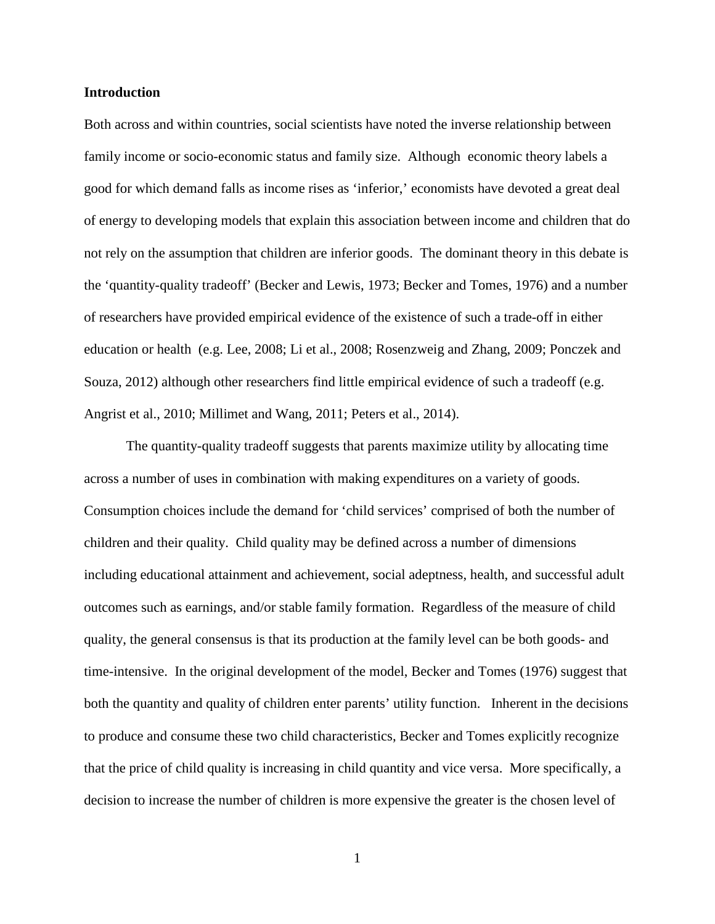### **Introduction**

Both across and within countries, social scientists have noted the inverse relationship between family income or socio-economic status and family size. Although economic theory labels a good for which demand falls as income rises as 'inferior,' economists have devoted a great deal of energy to developing models that explain this association between income and children that do not rely on the assumption that children are inferior goods. The dominant theory in this debate is the 'quantity-quality tradeoff' (Becker and Lewis, 1973; Becker and Tomes, 1976) and a number of researchers have provided empirical evidence of the existence of such a trade-off in either education or health (e.g. Lee, 2008; Li et al., 2008; Rosenzweig and Zhang, 2009; Ponczek and Souza, 2012) although other researchers find little empirical evidence of such a tradeoff (e.g. Angrist et al., 2010; Millimet and Wang, 2011; Peters et al., 2014).

The quantity-quality tradeoff suggests that parents maximize utility by allocating time across a number of uses in combination with making expenditures on a variety of goods. Consumption choices include the demand for 'child services' comprised of both the number of children and their quality. Child quality may be defined across a number of dimensions including educational attainment and achievement, social adeptness, health, and successful adult outcomes such as earnings, and/or stable family formation. Regardless of the measure of child quality, the general consensus is that its production at the family level can be both goods- and time-intensive. In the original development of the model, Becker and Tomes (1976) suggest that both the quantity and quality of children enter parents' utility function. Inherent in the decisions to produce and consume these two child characteristics, Becker and Tomes explicitly recognize that the price of child quality is increasing in child quantity and vice versa. More specifically, a decision to increase the number of children is more expensive the greater is the chosen level of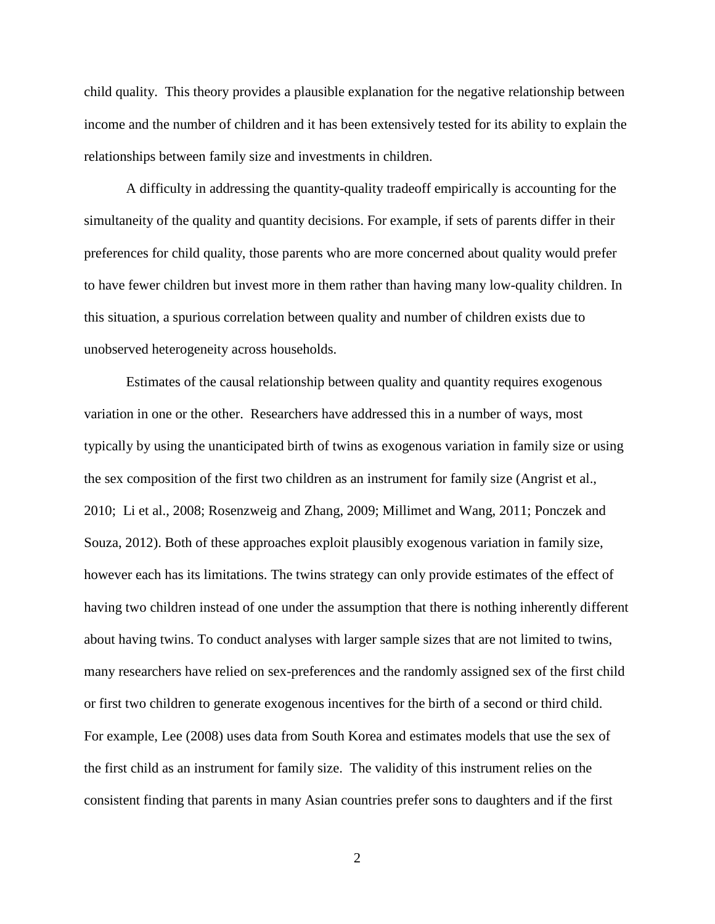child quality. This theory provides a plausible explanation for the negative relationship between income and the number of children and it has been extensively tested for its ability to explain the relationships between family size and investments in children.

A difficulty in addressing the quantity-quality tradeoff empirically is accounting for the simultaneity of the quality and quantity decisions. For example, if sets of parents differ in their preferences for child quality, those parents who are more concerned about quality would prefer to have fewer children but invest more in them rather than having many low-quality children. In this situation, a spurious correlation between quality and number of children exists due to unobserved heterogeneity across households.

Estimates of the causal relationship between quality and quantity requires exogenous variation in one or the other. Researchers have addressed this in a number of ways, most typically by using the unanticipated birth of twins as exogenous variation in family size or using the sex composition of the first two children as an instrument for family size (Angrist et al., 2010; Li et al., 2008; Rosenzweig and Zhang, 2009; Millimet and Wang, 2011; Ponczek and Souza, 2012). Both of these approaches exploit plausibly exogenous variation in family size, however each has its limitations. The twins strategy can only provide estimates of the effect of having two children instead of one under the assumption that there is nothing inherently different about having twins. To conduct analyses with larger sample sizes that are not limited to twins, many researchers have relied on sex-preferences and the randomly assigned sex of the first child or first two children to generate exogenous incentives for the birth of a second or third child. For example, Lee (2008) uses data from South Korea and estimates models that use the sex of the first child as an instrument for family size. The validity of this instrument relies on the consistent finding that parents in many Asian countries prefer sons to daughters and if the first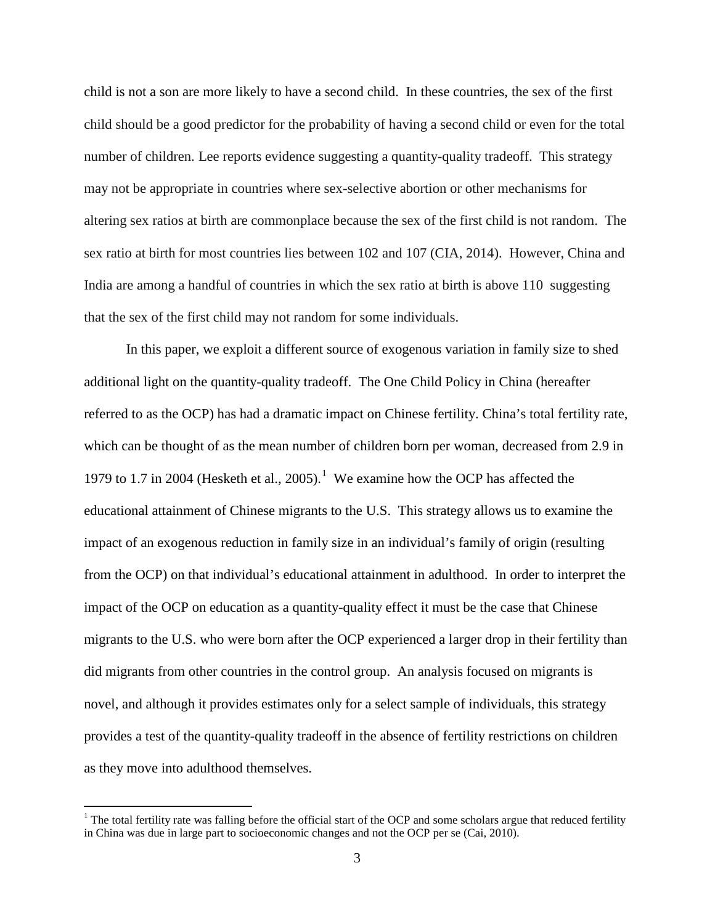child is not a son are more likely to have a second child. In these countries, the sex of the first child should be a good predictor for the probability of having a second child or even for the total number of children. Lee reports evidence suggesting a quantity-quality tradeoff. This strategy may not be appropriate in countries where sex-selective abortion or other mechanisms for altering sex ratios at birth are commonplace because the sex of the first child is not random. The sex ratio at birth for most countries lies between 102 and 107 (CIA, 2014). However, China and India are among a handful of countries in which the sex ratio at birth is above 110 suggesting that the sex of the first child may not random for some individuals.

In this paper, we exploit a different source of exogenous variation in family size to shed additional light on the quantity-quality tradeoff. The One Child Policy in China (hereafter referred to as the OCP) has had a dramatic impact on Chinese fertility. China's total fertility rate, which can be thought of as the mean number of children born per woman, decreased from 2.9 in 1979 to 1.7 in 2004 (Hesketh et al., 2005). [1](#page-5-0) We examine how the OCP has affected the educational attainment of Chinese migrants to the U.S. This strategy allows us to examine the impact of an exogenous reduction in family size in an individual's family of origin (resulting from the OCP) on that individual's educational attainment in adulthood. In order to interpret the impact of the OCP on education as a quantity-quality effect it must be the case that Chinese migrants to the U.S. who were born after the OCP experienced a larger drop in their fertility than did migrants from other countries in the control group. An analysis focused on migrants is novel, and although it provides estimates only for a select sample of individuals, this strategy provides a test of the quantity-quality tradeoff in the absence of fertility restrictions on children as they move into adulthood themselves.

<span id="page-5-0"></span><sup>&</sup>lt;sup>1</sup> The total fertility rate was falling before the official start of the OCP and some scholars argue that reduced fertility in China was due in large part to socioeconomic changes and not the OCP per se (Cai, 2010).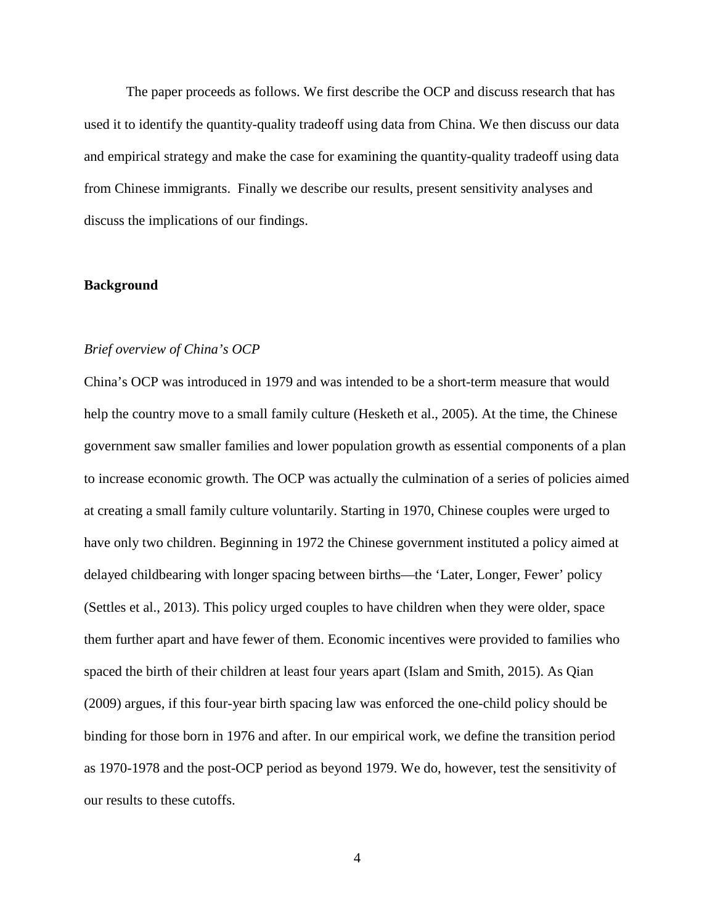The paper proceeds as follows. We first describe the OCP and discuss research that has used it to identify the quantity-quality tradeoff using data from China. We then discuss our data and empirical strategy and make the case for examining the quantity-quality tradeoff using data from Chinese immigrants. Finally we describe our results, present sensitivity analyses and discuss the implications of our findings.

### **Background**

### *Brief overview of China's OCP*

China's OCP was introduced in 1979 and was intended to be a short-term measure that would help the country move to a small family culture (Hesketh et al., 2005). At the time, the Chinese government saw smaller families and lower population growth as essential components of a plan to increase economic growth. The OCP was actually the culmination of a series of policies aimed at creating a small family culture voluntarily. Starting in 1970, Chinese couples were urged to have only two children. Beginning in 1972 the Chinese government instituted a policy aimed at delayed childbearing with longer spacing between births—the 'Later, Longer, Fewer' policy (Settles et al., 2013). This policy urged couples to have children when they were older, space them further apart and have fewer of them. Economic incentives were provided to families who spaced the birth of their children at least four years apart (Islam and Smith, 2015). As Qian (2009) argues, if this four-year birth spacing law was enforced the one-child policy should be binding for those born in 1976 and after. In our empirical work, we define the transition period as 1970-1978 and the post-OCP period as beyond 1979. We do, however, test the sensitivity of our results to these cutoffs.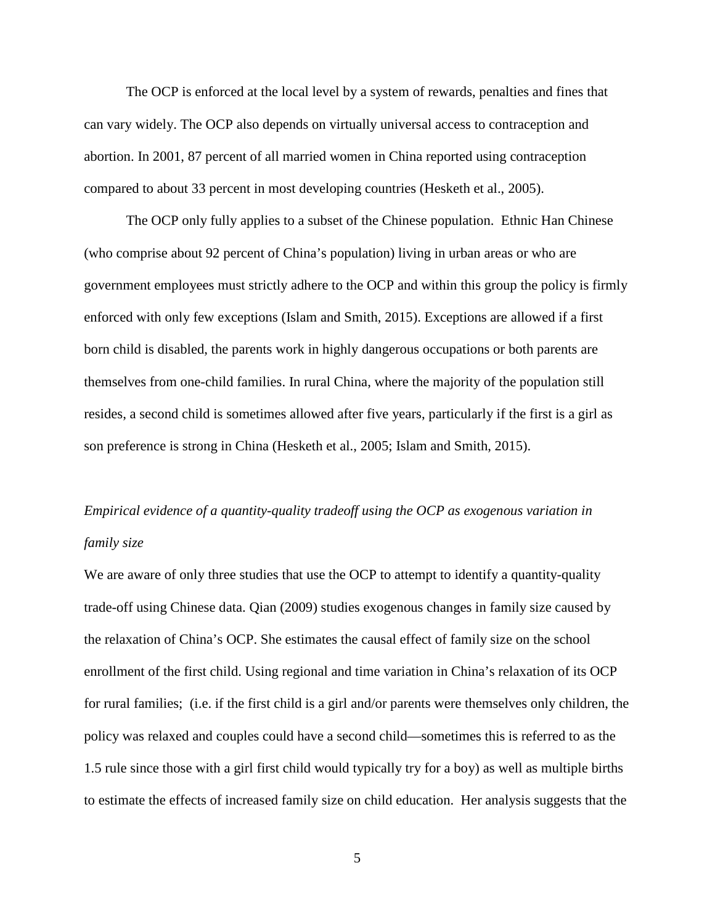The OCP is enforced at the local level by a system of rewards, penalties and fines that can vary widely. The OCP also depends on virtually universal access to contraception and abortion. In 2001, 87 percent of all married women in China reported using contraception compared to about 33 percent in most developing countries (Hesketh et al., 2005).

The OCP only fully applies to a subset of the Chinese population. Ethnic Han Chinese (who comprise about 92 percent of China's population) living in urban areas or who are government employees must strictly adhere to the OCP and within this group the policy is firmly enforced with only few exceptions (Islam and Smith, 2015). Exceptions are allowed if a first born child is disabled, the parents work in highly dangerous occupations or both parents are themselves from one-child families. In rural China, where the majority of the population still resides, a second child is sometimes allowed after five years, particularly if the first is a girl as son preference is strong in China (Hesketh et al., 2005; Islam and Smith, 2015).

# *Empirical evidence of a quantity-quality tradeoff using the OCP as exogenous variation in family size*

We are aware of only three studies that use the OCP to attempt to identify a quantity-quality trade-off using Chinese data. Qian (2009) studies exogenous changes in family size caused by the relaxation of China's OCP. She estimates the causal effect of family size on the school enrollment of the first child. Using regional and time variation in China's relaxation of its OCP for rural families; (i.e. if the first child is a girl and/or parents were themselves only children, the policy was relaxed and couples could have a second child—sometimes this is referred to as the 1.5 rule since those with a girl first child would typically try for a boy) as well as multiple births to estimate the effects of increased family size on child education. Her analysis suggests that the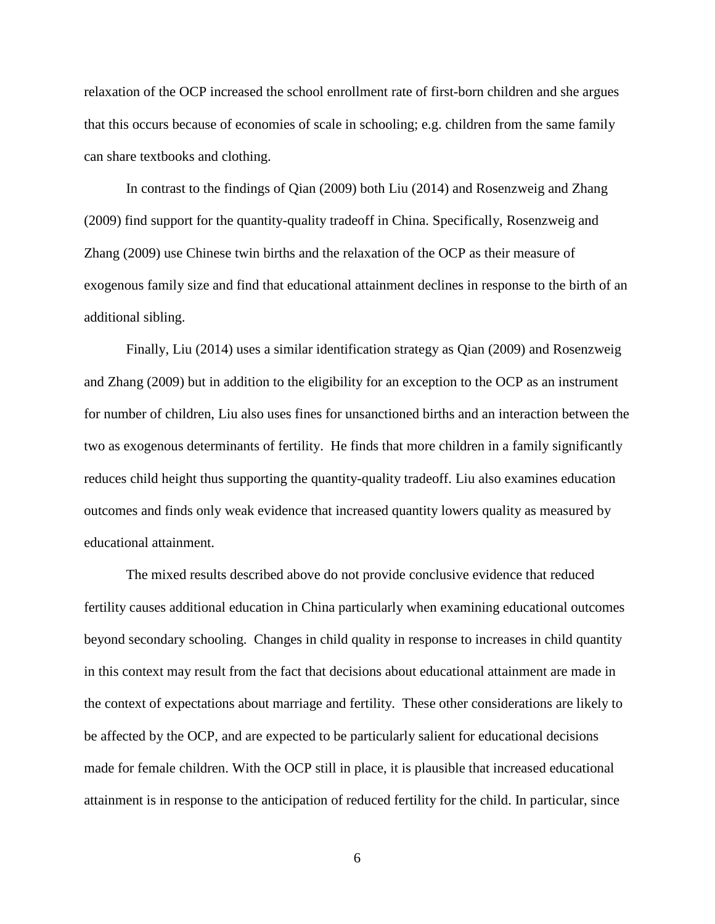relaxation of the OCP increased the school enrollment rate of first-born children and she argues that this occurs because of economies of scale in schooling; e.g. children from the same family can share textbooks and clothing.

In contrast to the findings of Qian (2009) both Liu (2014) and Rosenzweig and Zhang (2009) find support for the quantity-quality tradeoff in China. Specifically, Rosenzweig and Zhang (2009) use Chinese twin births and the relaxation of the OCP as their measure of exogenous family size and find that educational attainment declines in response to the birth of an additional sibling.

Finally, Liu (2014) uses a similar identification strategy as Qian (2009) and Rosenzweig and Zhang (2009) but in addition to the eligibility for an exception to the OCP as an instrument for number of children, Liu also uses fines for unsanctioned births and an interaction between the two as exogenous determinants of fertility. He finds that more children in a family significantly reduces child height thus supporting the quantity-quality tradeoff. Liu also examines education outcomes and finds only weak evidence that increased quantity lowers quality as measured by educational attainment.

The mixed results described above do not provide conclusive evidence that reduced fertility causes additional education in China particularly when examining educational outcomes beyond secondary schooling. Changes in child quality in response to increases in child quantity in this context may result from the fact that decisions about educational attainment are made in the context of expectations about marriage and fertility. These other considerations are likely to be affected by the OCP, and are expected to be particularly salient for educational decisions made for female children. With the OCP still in place, it is plausible that increased educational attainment is in response to the anticipation of reduced fertility for the child. In particular, since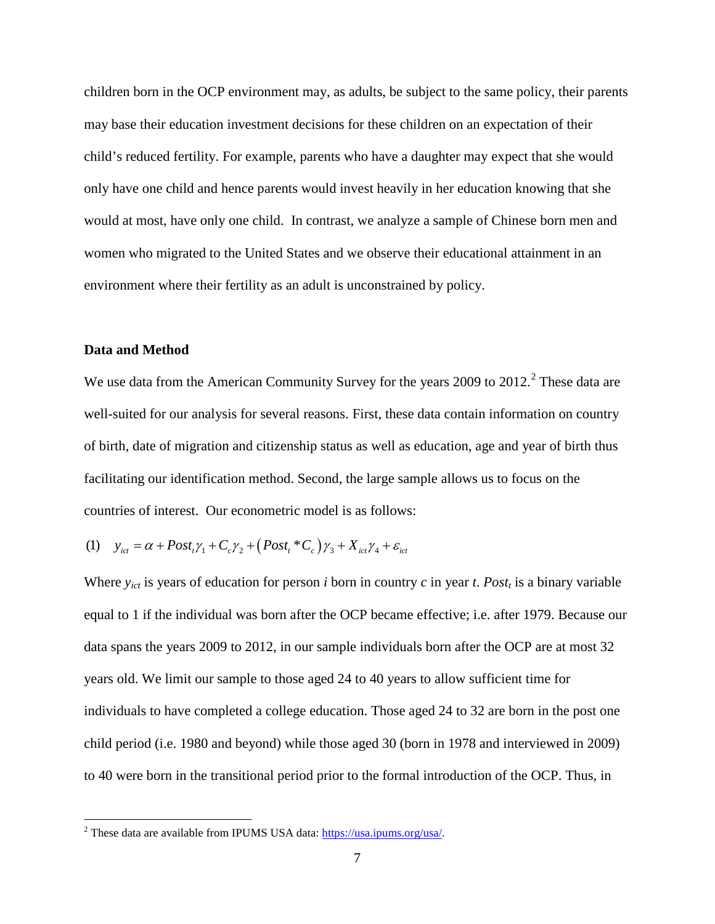children born in the OCP environment may, as adults, be subject to the same policy, their parents may base their education investment decisions for these children on an expectation of their child's reduced fertility. For example, parents who have a daughter may expect that she would only have one child and hence parents would invest heavily in her education knowing that she would at most, have only one child. In contrast, we analyze a sample of Chinese born men and women who migrated to the United States and we observe their educational attainment in an environment where their fertility as an adult is unconstrained by policy.

### **Data and Method**

We use data from the American Community Survey for the years [2](#page-9-0)009 to 2012.<sup>2</sup> These data are well-suited for our analysis for several reasons. First, these data contain information on country of birth, date of migration and citizenship status as well as education, age and year of birth thus facilitating our identification method. Second, the large sample allows us to focus on the countries of interest. Our econometric model is as follows:

(1) 
$$
y_{ict} = \alpha + Post_t \gamma_1 + C_c \gamma_2 + (Post_t * C_c) \gamma_3 + X_{ict} \gamma_4 + \varepsilon_{ict}
$$

Where  $y_{ict}$  is years of education for person *i* born in country *c* in year *t*. *Post<sub>t</sub>* is a binary variable equal to 1 if the individual was born after the OCP became effective; i.e. after 1979. Because our data spans the years 2009 to 2012, in our sample individuals born after the OCP are at most 32 years old. We limit our sample to those aged 24 to 40 years to allow sufficient time for individuals to have completed a college education. Those aged 24 to 32 are born in the post one child period (i.e. 1980 and beyond) while those aged 30 (born in 1978 and interviewed in 2009) to 40 were born in the transitional period prior to the formal introduction of the OCP. Thus, in

<span id="page-9-0"></span> <sup>2</sup> These data are available from IPUMS USA data: [https://usa.ipums.org/usa/.](https://usa.ipums.org/usa/)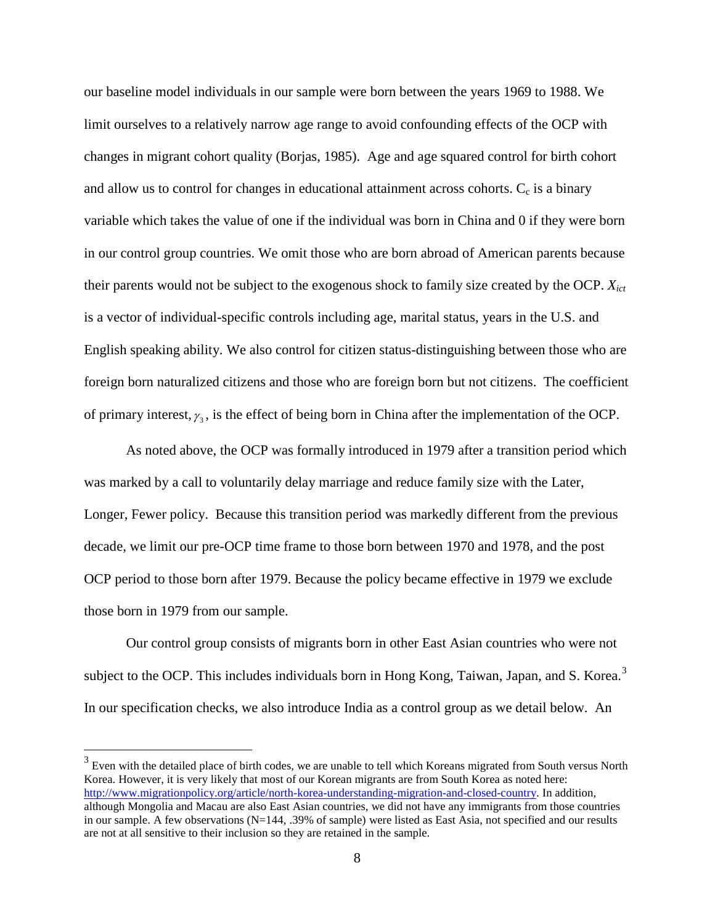our baseline model individuals in our sample were born between the years 1969 to 1988. We limit ourselves to a relatively narrow age range to avoid confounding effects of the OCP with changes in migrant cohort quality (Borjas, 1985). Age and age squared control for birth cohort and allow us to control for changes in educational attainment across cohorts.  $C_c$  is a binary variable which takes the value of one if the individual was born in China and 0 if they were born in our control group countries. We omit those who are born abroad of American parents because their parents would not be subject to the exogenous shock to family size created by the OCP. *Xict* is a vector of individual-specific controls including age, marital status, years in the U.S. and English speaking ability. We also control for citizen status-distinguishing between those who are foreign born naturalized citizens and those who are foreign born but not citizens. The coefficient of primary interest,  $\gamma_3$ , is the effect of being born in China after the implementation of the OCP.

As noted above, the OCP was formally introduced in 1979 after a transition period which was marked by a call to voluntarily delay marriage and reduce family size with the Later, Longer, Fewer policy. Because this transition period was markedly different from the previous decade, we limit our pre-OCP time frame to those born between 1970 and 1978, and the post OCP period to those born after 1979. Because the policy became effective in 1979 we exclude those born in 1979 from our sample.

Our control group consists of migrants born in other East Asian countries who were not subject to the OCP. This includes individuals born in Hong Kong, Taiwan, Japan, and S. Korea.<sup>[3](#page-10-0)</sup> In our specification checks, we also introduce India as a control group as we detail below. An

<span id="page-10-0"></span><sup>&</sup>lt;sup>3</sup> Even with the detailed place of birth codes, we are unable to tell which Koreans migrated from South versus North Korea. However, it is very likely that most of our Korean migrants are from South Korea as noted here: [http://www.migrationpolicy.org/article/north-korea-understanding-migration-and-closed-country.](http://www.migrationpolicy.org/article/north-korea-understanding-migration-and-closed-country) In addition, although Mongolia and Macau are also East Asian countries, we did not have any immigrants from those countries in our sample. A few observations (N=144, .39% of sample) were listed as East Asia, not specified and our results are not at all sensitive to their inclusion so they are retained in the sample.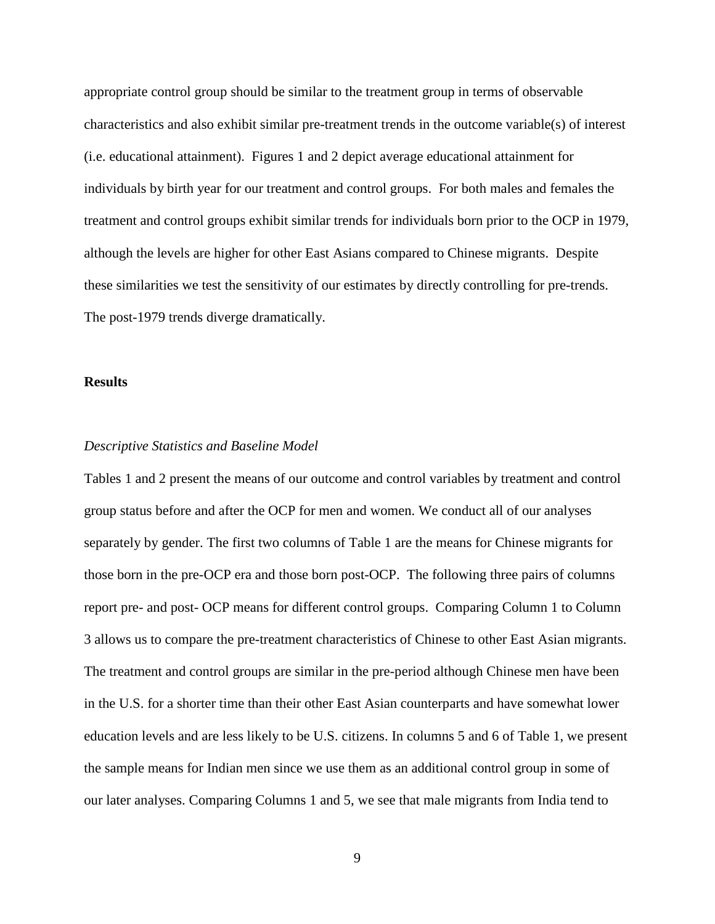appropriate control group should be similar to the treatment group in terms of observable characteristics and also exhibit similar pre-treatment trends in the outcome variable(s) of interest (i.e. educational attainment). Figures 1 and 2 depict average educational attainment for individuals by birth year for our treatment and control groups. For both males and females the treatment and control groups exhibit similar trends for individuals born prior to the OCP in 1979, although the levels are higher for other East Asians compared to Chinese migrants. Despite these similarities we test the sensitivity of our estimates by directly controlling for pre-trends. The post-1979 trends diverge dramatically.

### **Results**

#### *Descriptive Statistics and Baseline Model*

Tables 1 and 2 present the means of our outcome and control variables by treatment and control group status before and after the OCP for men and women. We conduct all of our analyses separately by gender. The first two columns of Table 1 are the means for Chinese migrants for those born in the pre-OCP era and those born post-OCP. The following three pairs of columns report pre- and post- OCP means for different control groups. Comparing Column 1 to Column 3 allows us to compare the pre-treatment characteristics of Chinese to other East Asian migrants. The treatment and control groups are similar in the pre-period although Chinese men have been in the U.S. for a shorter time than their other East Asian counterparts and have somewhat lower education levels and are less likely to be U.S. citizens. In columns 5 and 6 of Table 1, we present the sample means for Indian men since we use them as an additional control group in some of our later analyses. Comparing Columns 1 and 5, we see that male migrants from India tend to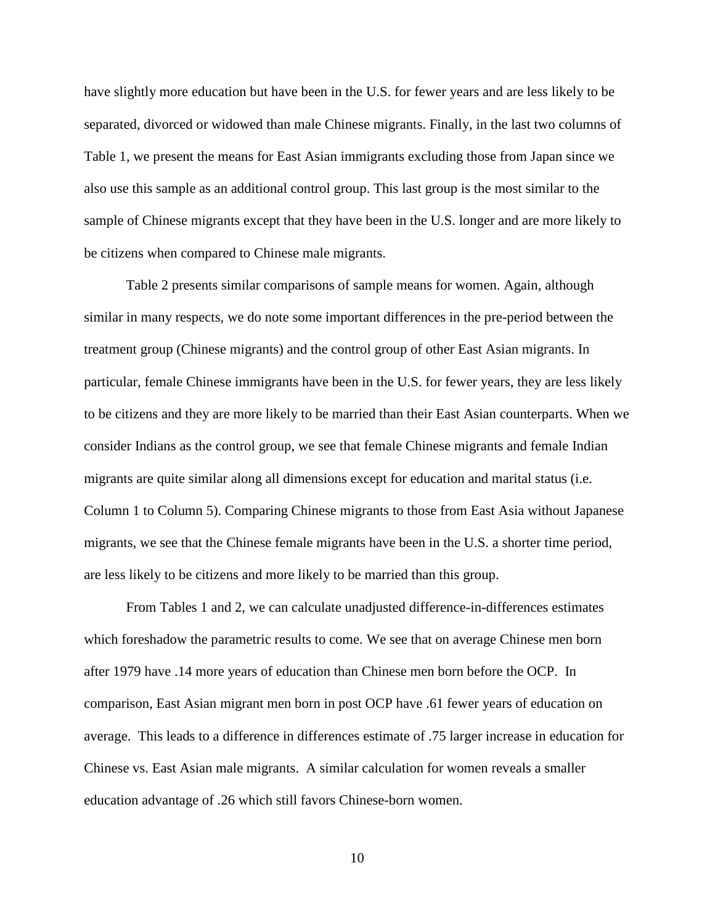have slightly more education but have been in the U.S. for fewer years and are less likely to be separated, divorced or widowed than male Chinese migrants. Finally, in the last two columns of Table 1, we present the means for East Asian immigrants excluding those from Japan since we also use this sample as an additional control group. This last group is the most similar to the sample of Chinese migrants except that they have been in the U.S. longer and are more likely to be citizens when compared to Chinese male migrants.

Table 2 presents similar comparisons of sample means for women. Again, although similar in many respects, we do note some important differences in the pre-period between the treatment group (Chinese migrants) and the control group of other East Asian migrants. In particular, female Chinese immigrants have been in the U.S. for fewer years, they are less likely to be citizens and they are more likely to be married than their East Asian counterparts. When we consider Indians as the control group, we see that female Chinese migrants and female Indian migrants are quite similar along all dimensions except for education and marital status (i.e. Column 1 to Column 5). Comparing Chinese migrants to those from East Asia without Japanese migrants, we see that the Chinese female migrants have been in the U.S. a shorter time period, are less likely to be citizens and more likely to be married than this group.

From Tables 1 and 2, we can calculate unadjusted difference-in-differences estimates which foreshadow the parametric results to come. We see that on average Chinese men born after 1979 have .14 more years of education than Chinese men born before the OCP. In comparison, East Asian migrant men born in post OCP have .61 fewer years of education on average. This leads to a difference in differences estimate of .75 larger increase in education for Chinese vs. East Asian male migrants. A similar calculation for women reveals a smaller education advantage of .26 which still favors Chinese-born women.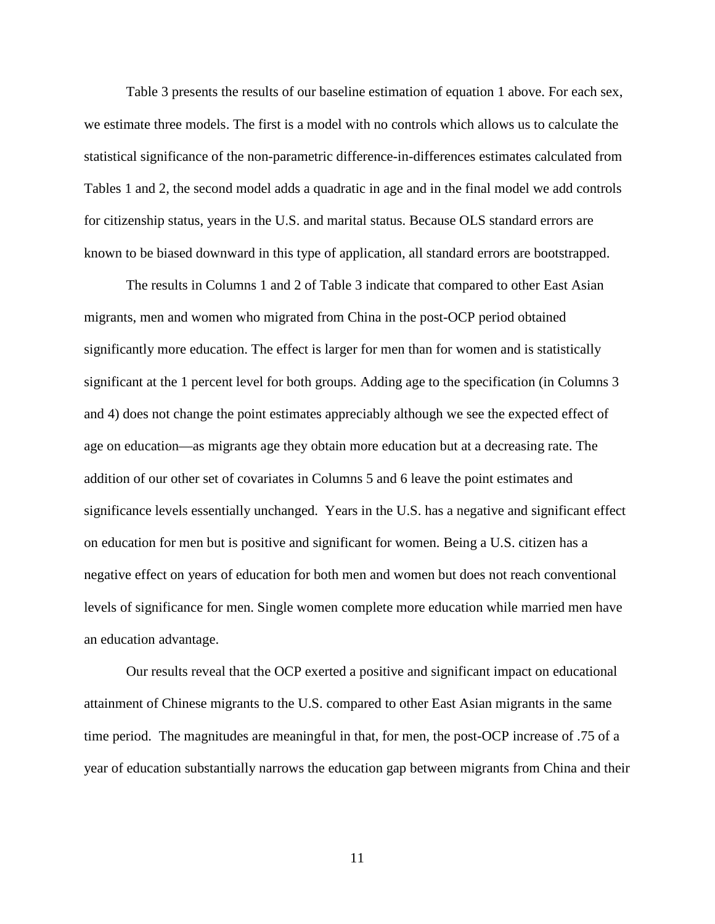Table 3 presents the results of our baseline estimation of equation 1 above. For each sex, we estimate three models. The first is a model with no controls which allows us to calculate the statistical significance of the non-parametric difference-in-differences estimates calculated from Tables 1 and 2, the second model adds a quadratic in age and in the final model we add controls for citizenship status, years in the U.S. and marital status. Because OLS standard errors are known to be biased downward in this type of application, all standard errors are bootstrapped.

The results in Columns 1 and 2 of Table 3 indicate that compared to other East Asian migrants, men and women who migrated from China in the post-OCP period obtained significantly more education. The effect is larger for men than for women and is statistically significant at the 1 percent level for both groups. Adding age to the specification (in Columns 3 and 4) does not change the point estimates appreciably although we see the expected effect of age on education—as migrants age they obtain more education but at a decreasing rate. The addition of our other set of covariates in Columns 5 and 6 leave the point estimates and significance levels essentially unchanged. Years in the U.S. has a negative and significant effect on education for men but is positive and significant for women. Being a U.S. citizen has a negative effect on years of education for both men and women but does not reach conventional levels of significance for men. Single women complete more education while married men have an education advantage.

Our results reveal that the OCP exerted a positive and significant impact on educational attainment of Chinese migrants to the U.S. compared to other East Asian migrants in the same time period. The magnitudes are meaningful in that, for men, the post-OCP increase of .75 of a year of education substantially narrows the education gap between migrants from China and their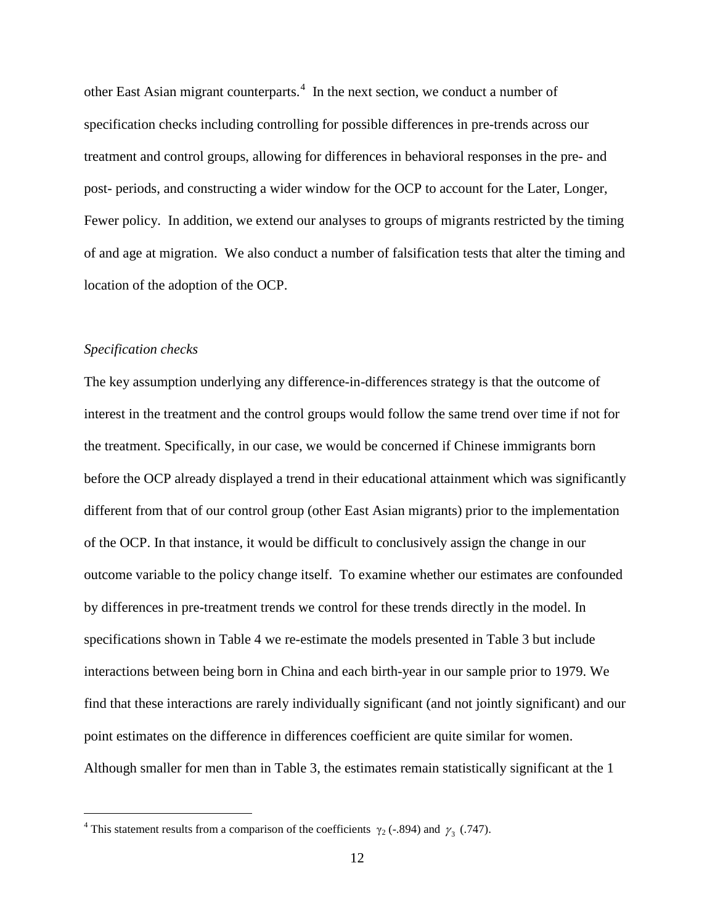other East Asian migrant counterparts. [4](#page-14-0) In the next section, we conduct a number of specification checks including controlling for possible differences in pre-trends across our treatment and control groups, allowing for differences in behavioral responses in the pre- and post- periods, and constructing a wider window for the OCP to account for the Later, Longer, Fewer policy. In addition, we extend our analyses to groups of migrants restricted by the timing of and age at migration. We also conduct a number of falsification tests that alter the timing and location of the adoption of the OCP.

### *Specification checks*

The key assumption underlying any difference-in-differences strategy is that the outcome of interest in the treatment and the control groups would follow the same trend over time if not for the treatment. Specifically, in our case, we would be concerned if Chinese immigrants born before the OCP already displayed a trend in their educational attainment which was significantly different from that of our control group (other East Asian migrants) prior to the implementation of the OCP. In that instance, it would be difficult to conclusively assign the change in our outcome variable to the policy change itself. To examine whether our estimates are confounded by differences in pre-treatment trends we control for these trends directly in the model. In specifications shown in Table 4 we re-estimate the models presented in Table 3 but include interactions between being born in China and each birth-year in our sample prior to 1979. We find that these interactions are rarely individually significant (and not jointly significant) and our point estimates on the difference in differences coefficient are quite similar for women. Although smaller for men than in Table 3, the estimates remain statistically significant at the 1

<span id="page-14-0"></span><sup>&</sup>lt;sup>4</sup> This statement results from a comparison of the coefficients  $\gamma_2$  (-.894) and  $\gamma_3$  (.747).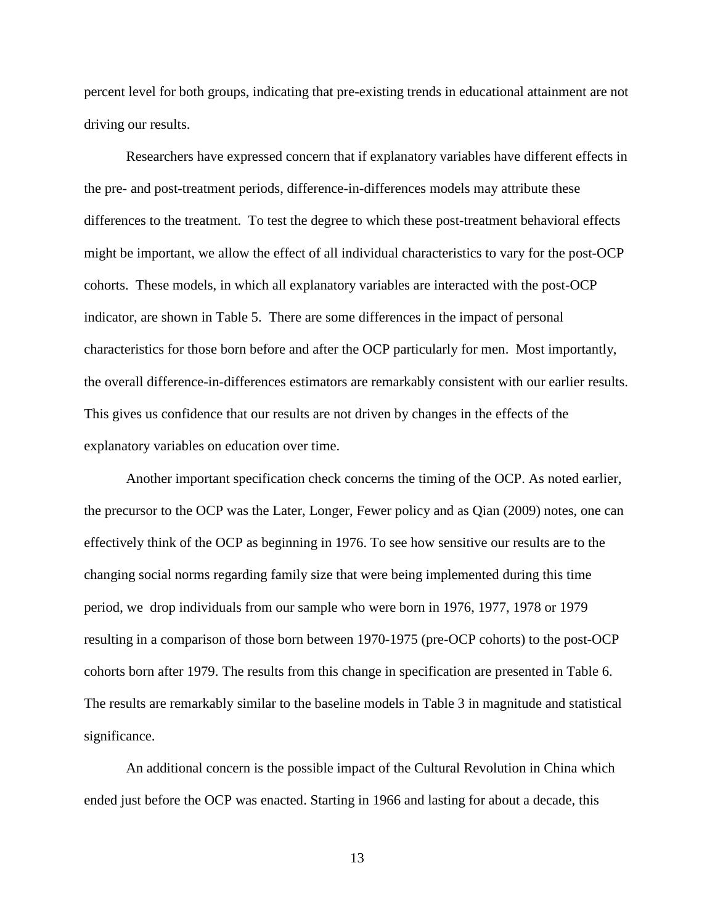percent level for both groups, indicating that pre-existing trends in educational attainment are not driving our results.

Researchers have expressed concern that if explanatory variables have different effects in the pre- and post-treatment periods, difference-in-differences models may attribute these differences to the treatment. To test the degree to which these post-treatment behavioral effects might be important, we allow the effect of all individual characteristics to vary for the post-OCP cohorts. These models, in which all explanatory variables are interacted with the post-OCP indicator, are shown in Table 5. There are some differences in the impact of personal characteristics for those born before and after the OCP particularly for men. Most importantly, the overall difference-in-differences estimators are remarkably consistent with our earlier results. This gives us confidence that our results are not driven by changes in the effects of the explanatory variables on education over time.

Another important specification check concerns the timing of the OCP. As noted earlier, the precursor to the OCP was the Later, Longer, Fewer policy and as Qian (2009) notes, one can effectively think of the OCP as beginning in 1976. To see how sensitive our results are to the changing social norms regarding family size that were being implemented during this time period, we drop individuals from our sample who were born in 1976, 1977, 1978 or 1979 resulting in a comparison of those born between 1970-1975 (pre-OCP cohorts) to the post-OCP cohorts born after 1979. The results from this change in specification are presented in Table 6. The results are remarkably similar to the baseline models in Table 3 in magnitude and statistical significance.

An additional concern is the possible impact of the Cultural Revolution in China which ended just before the OCP was enacted. Starting in 1966 and lasting for about a decade, this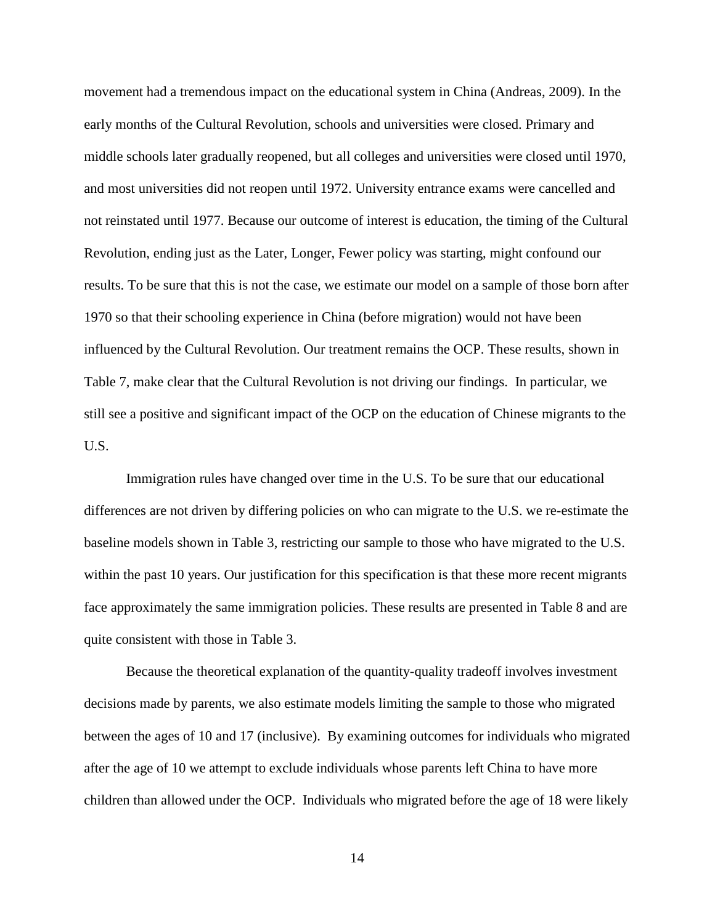movement had a tremendous impact on the educational system in China (Andreas, 2009). In the early months of the Cultural Revolution, schools and universities were closed. Primary and middle schools later gradually reopened, but all colleges and universities were closed until 1970, and most universities did not reopen until 1972. University entrance exams were cancelled and not reinstated until 1977. Because our outcome of interest is education, the timing of the Cultural Revolution, ending just as the Later, Longer, Fewer policy was starting, might confound our results. To be sure that this is not the case, we estimate our model on a sample of those born after 1970 so that their schooling experience in China (before migration) would not have been influenced by the Cultural Revolution. Our treatment remains the OCP. These results, shown in Table 7, make clear that the Cultural Revolution is not driving our findings. In particular, we still see a positive and significant impact of the OCP on the education of Chinese migrants to the U.S.

Immigration rules have changed over time in the U.S. To be sure that our educational differences are not driven by differing policies on who can migrate to the U.S. we re-estimate the baseline models shown in Table 3, restricting our sample to those who have migrated to the U.S. within the past 10 years. Our justification for this specification is that these more recent migrants face approximately the same immigration policies. These results are presented in Table 8 and are quite consistent with those in Table 3.

Because the theoretical explanation of the quantity-quality tradeoff involves investment decisions made by parents, we also estimate models limiting the sample to those who migrated between the ages of 10 and 17 (inclusive). By examining outcomes for individuals who migrated after the age of 10 we attempt to exclude individuals whose parents left China to have more children than allowed under the OCP. Individuals who migrated before the age of 18 were likely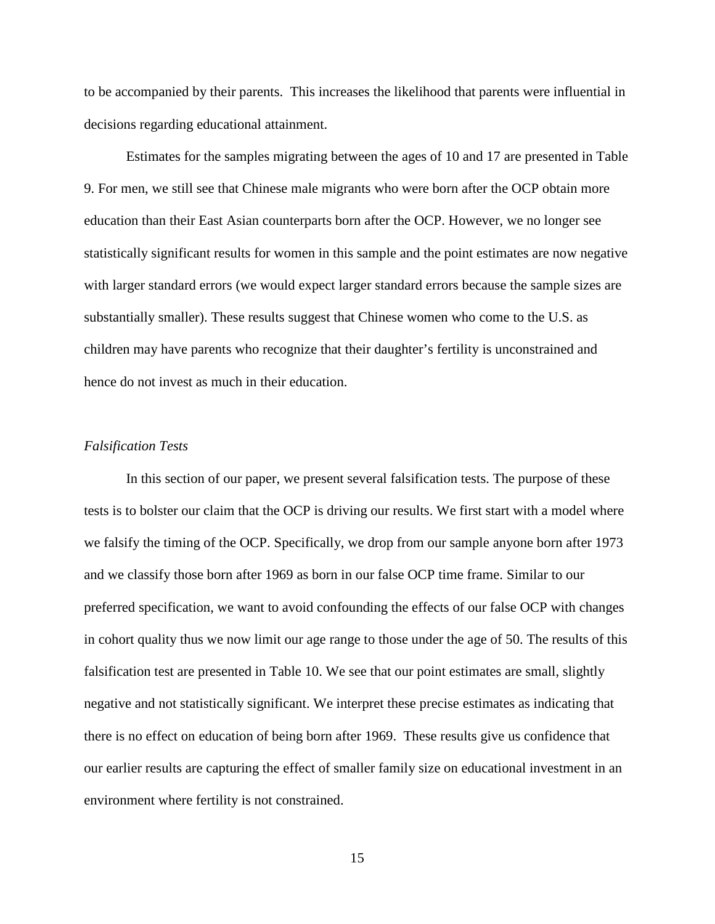to be accompanied by their parents. This increases the likelihood that parents were influential in decisions regarding educational attainment.

Estimates for the samples migrating between the ages of 10 and 17 are presented in Table 9. For men, we still see that Chinese male migrants who were born after the OCP obtain more education than their East Asian counterparts born after the OCP. However, we no longer see statistically significant results for women in this sample and the point estimates are now negative with larger standard errors (we would expect larger standard errors because the sample sizes are substantially smaller). These results suggest that Chinese women who come to the U.S. as children may have parents who recognize that their daughter's fertility is unconstrained and hence do not invest as much in their education.

### *Falsification Tests*

In this section of our paper, we present several falsification tests. The purpose of these tests is to bolster our claim that the OCP is driving our results. We first start with a model where we falsify the timing of the OCP. Specifically, we drop from our sample anyone born after 1973 and we classify those born after 1969 as born in our false OCP time frame. Similar to our preferred specification, we want to avoid confounding the effects of our false OCP with changes in cohort quality thus we now limit our age range to those under the age of 50. The results of this falsification test are presented in Table 10. We see that our point estimates are small, slightly negative and not statistically significant. We interpret these precise estimates as indicating that there is no effect on education of being born after 1969. These results give us confidence that our earlier results are capturing the effect of smaller family size on educational investment in an environment where fertility is not constrained.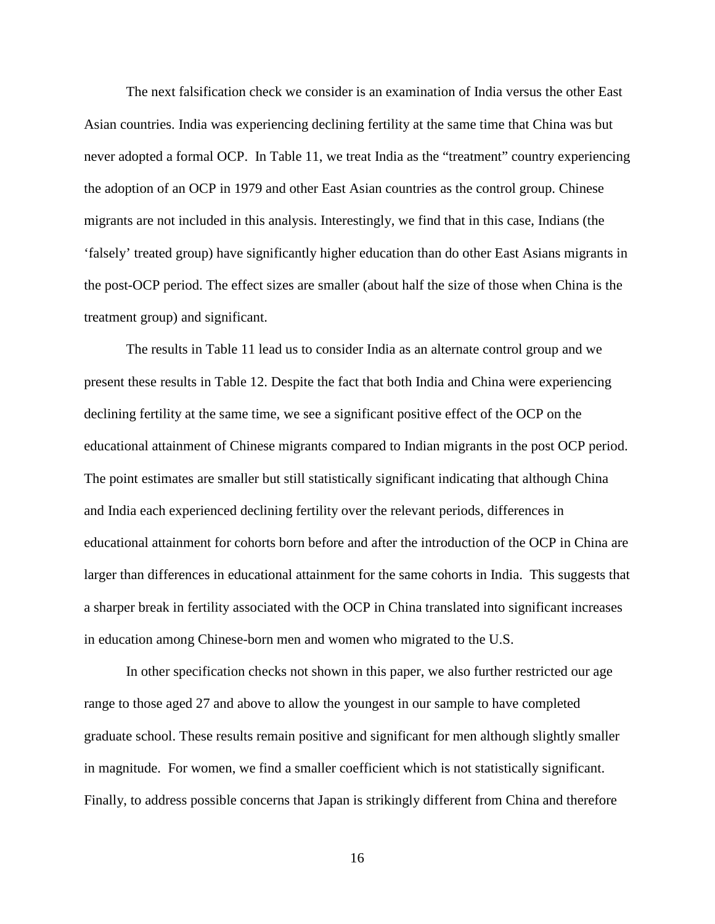The next falsification check we consider is an examination of India versus the other East Asian countries. India was experiencing declining fertility at the same time that China was but never adopted a formal OCP. In Table 11, we treat India as the "treatment" country experiencing the adoption of an OCP in 1979 and other East Asian countries as the control group. Chinese migrants are not included in this analysis. Interestingly, we find that in this case, Indians (the 'falsely' treated group) have significantly higher education than do other East Asians migrants in the post-OCP period. The effect sizes are smaller (about half the size of those when China is the treatment group) and significant.

The results in Table 11 lead us to consider India as an alternate control group and we present these results in Table 12. Despite the fact that both India and China were experiencing declining fertility at the same time, we see a significant positive effect of the OCP on the educational attainment of Chinese migrants compared to Indian migrants in the post OCP period. The point estimates are smaller but still statistically significant indicating that although China and India each experienced declining fertility over the relevant periods, differences in educational attainment for cohorts born before and after the introduction of the OCP in China are larger than differences in educational attainment for the same cohorts in India. This suggests that a sharper break in fertility associated with the OCP in China translated into significant increases in education among Chinese-born men and women who migrated to the U.S.

In other specification checks not shown in this paper, we also further restricted our age range to those aged 27 and above to allow the youngest in our sample to have completed graduate school. These results remain positive and significant for men although slightly smaller in magnitude. For women, we find a smaller coefficient which is not statistically significant. Finally, to address possible concerns that Japan is strikingly different from China and therefore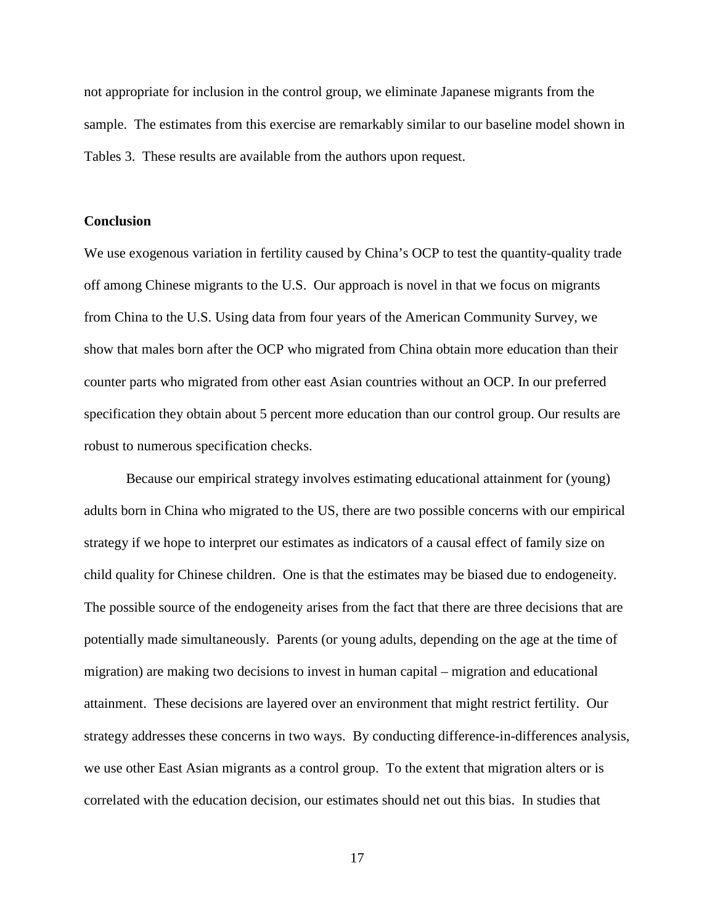not appropriate for inclusion in the control group, we eliminate Japanese migrants from the sample. The estimates from this exercise are remarkably similar to our baseline model shown in Tables 3. These results are available from the authors upon request.

### **Conclusion**

We use exogenous variation in fertility caused by China's OCP to test the quantity-quality trade off among Chinese migrants to the U.S. Our approach is novel in that we focus on migrants from China to the U.S. Using data from four years of the American Community Survey, we show that males born after the OCP who migrated from China obtain more education than their counter parts who migrated from other east Asian countries without an OCP. In our preferred specification they obtain about 5 percent more education than our control group. Our results are robust to numerous specification checks.

Because our empirical strategy involves estimating educational attainment for (young) adults born in China who migrated to the US, there are two possible concerns with our empirical strategy if we hope to interpret our estimates as indicators of a causal effect of family size on child quality for Chinese children. One is that the estimates may be biased due to endogeneity. The possible source of the endogeneity arises from the fact that there are three decisions that are potentially made simultaneously. Parents (or young adults, depending on the age at the time of migration) are making two decisions to invest in human capital – migration and educational attainment. These decisions are layered over an environment that might restrict fertility. Our strategy addresses these concerns in two ways. By conducting difference-in-differences analysis, we use other East Asian migrants as a control group. To the extent that migration alters or is correlated with the education decision, our estimates should net out this bias. In studies that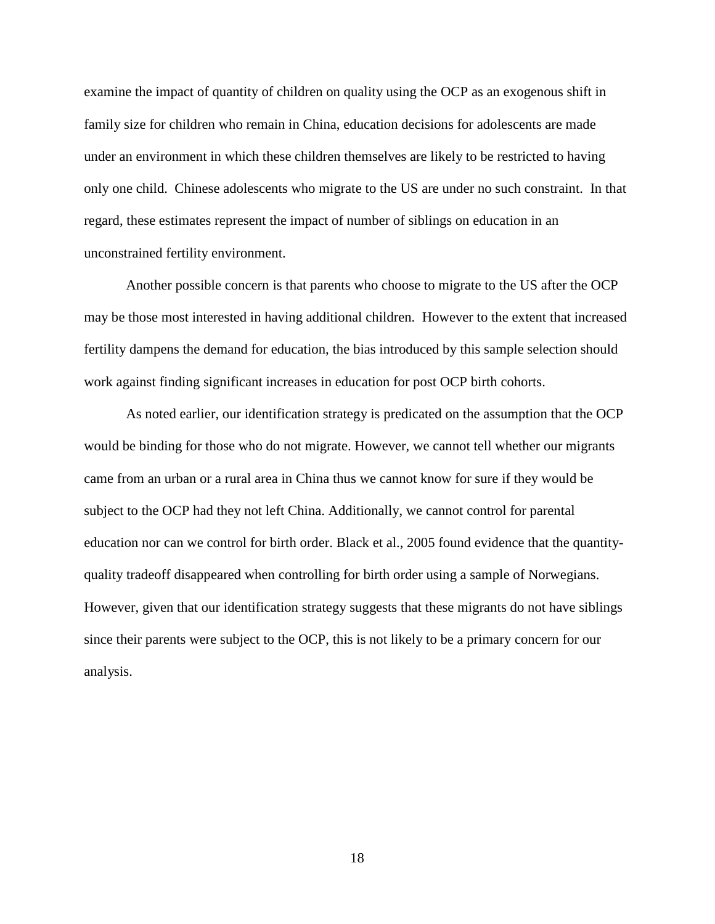examine the impact of quantity of children on quality using the OCP as an exogenous shift in family size for children who remain in China, education decisions for adolescents are made under an environment in which these children themselves are likely to be restricted to having only one child. Chinese adolescents who migrate to the US are under no such constraint. In that regard, these estimates represent the impact of number of siblings on education in an unconstrained fertility environment.

Another possible concern is that parents who choose to migrate to the US after the OCP may be those most interested in having additional children. However to the extent that increased fertility dampens the demand for education, the bias introduced by this sample selection should work against finding significant increases in education for post OCP birth cohorts.

As noted earlier, our identification strategy is predicated on the assumption that the OCP would be binding for those who do not migrate. However, we cannot tell whether our migrants came from an urban or a rural area in China thus we cannot know for sure if they would be subject to the OCP had they not left China. Additionally, we cannot control for parental education nor can we control for birth order. Black et al., 2005 found evidence that the quantityquality tradeoff disappeared when controlling for birth order using a sample of Norwegians. However, given that our identification strategy suggests that these migrants do not have siblings since their parents were subject to the OCP, this is not likely to be a primary concern for our analysis.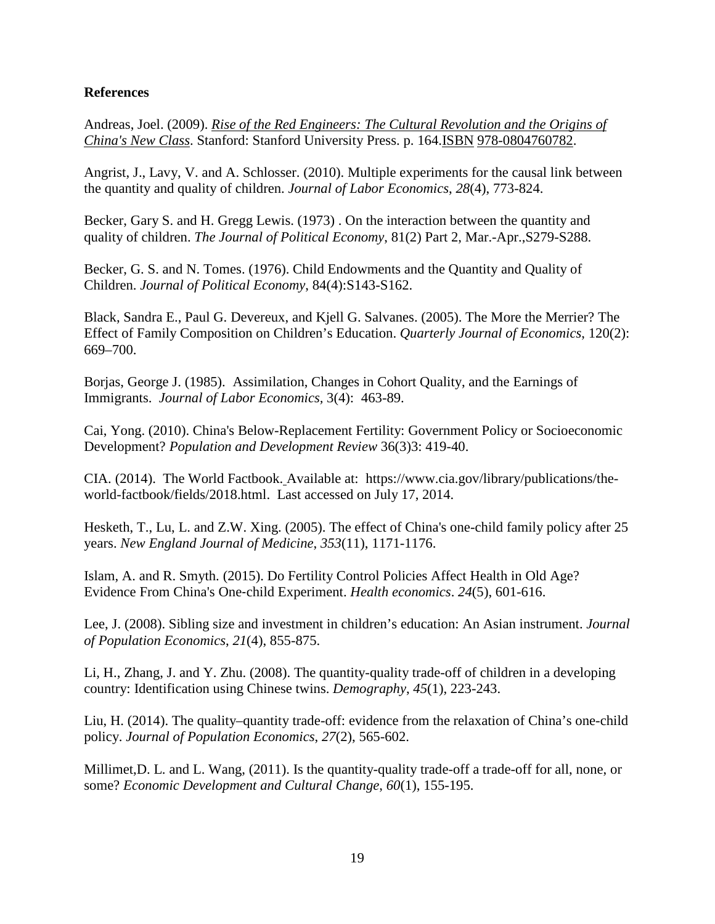### **References**

Andreas, Joel. (2009). *[Rise of the Red Engineers: The Cultural Revolution and the Origins of](http://books.google.co.uk/books?id=iRr8GOrCLgkC&pg=PA164%23v=onepage&q&f=false)  [China's New Class](http://books.google.co.uk/books?id=iRr8GOrCLgkC&pg=PA164%23v=onepage&q&f=false)*. Stanford: Stanford University Press. p. 164[.ISBN](http://en.wikipedia.org/wiki/International_Standard_Book_Number) [978-0804760782.](http://en.wikipedia.org/wiki/Special:BookSources/978-0804760782)

Angrist, J., Lavy, V. and A. Schlosser. (2010). Multiple experiments for the causal link between the quantity and quality of children. *Journal of Labor Economics*, *28*(4), 773-824.

Becker, Gary S. and H. Gregg Lewis. (1973) . On the interaction between the quantity and quality of children. *The Journal of Political Economy*, 81(2) Part 2, Mar.-Apr.,S279-S288.

Becker, G. S. and N. Tomes. (1976). Child Endowments and the Quantity and Quality of Children. *Journal of Political Economy*, 84(4):S143-S162.

Black, Sandra E., Paul G. Devereux, and Kjell G. Salvanes. (2005). The More the Merrier? The Effect of Family Composition on Children's Education. *Quarterly Journal of Economics*, 120(2): 669–700.

Borjas, George J. (1985). Assimilation, Changes in Cohort Quality, and the Earnings of Immigrants. *Journal of Labor Economics,* 3(4): 463-89.

Cai, Yong. (2010). [China's Below-Replacement Fertility: Government Policy or Socioeconomic](http://dx.doi.org/10.1111/j.1728-4457.2010.00341.x)  [Development?](http://dx.doi.org/10.1111/j.1728-4457.2010.00341.x) *Population and Development Review* 36(3)3: 419-40.

CIA. (2014). The World Factbook. Available at: [https://www.cia.gov/library/publications/the](https://www.cia.gov/library/publications/the-world-factbook/fields/2018.html)[world-factbook/fields/2018.html.](https://www.cia.gov/library/publications/the-world-factbook/fields/2018.html) Last accessed on July 17, 2014.

Hesketh, T., Lu, L. and Z.W. Xing. (2005). The effect of China's one-child family policy after 25 years. *New England Journal of Medicine*, *353*(11), 1171-1176.

Islam, A. and R. Smyth. (2015). Do Fertility Control Policies Affect Health in Old Age? Evidence From China's One‐child Experiment. *Health economics*. *24*(5), 601-616.

Lee, J. (2008). Sibling size and investment in children's education: An Asian instrument. *Journal of Population Economics*, *21*(4), 855-875.

Li, H., Zhang, J. and Y. Zhu. (2008). The quantity-quality trade-off of children in a developing country: Identification using Chinese twins. *Demography*, *45*(1), 223-243.

Liu, H. (2014). The quality–quantity trade-off: evidence from the relaxation of China's one-child policy. *Journal of Population Economics*, *27*(2), 565-602.

Millimet,D. L. and L. Wang, (2011). Is the quantity-quality trade-off a trade-off for all, none, or some? *Economic Development and Cultural Change*, *60*(1), 155-195.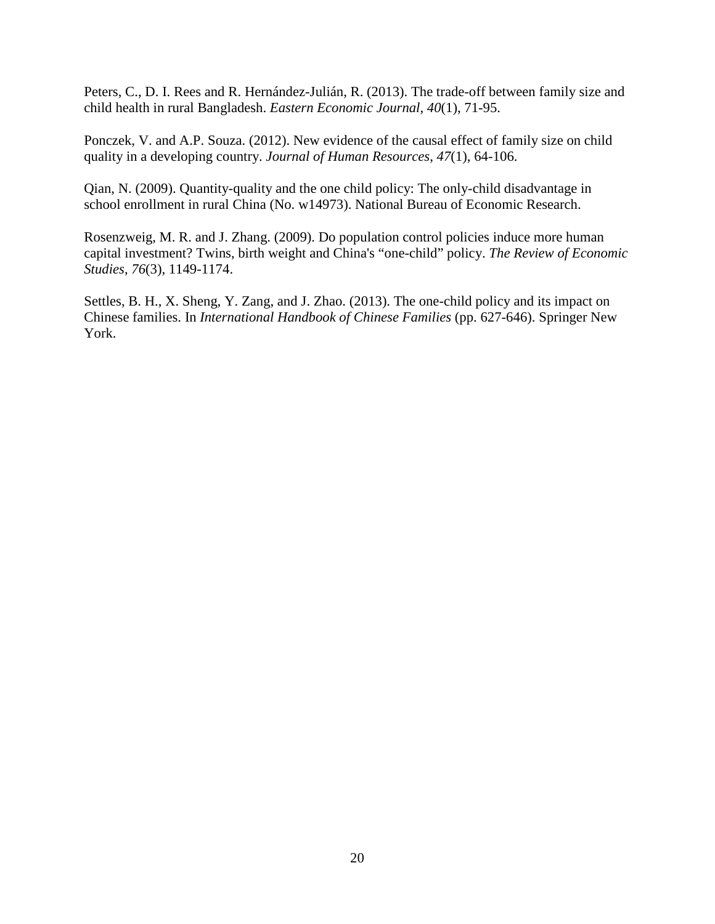Peters, C., D. I. Rees and R. Hernández-Julián, R. (2013). The trade-off between family size and child health in rural Bangladesh. *Eastern Economic Journal*, *40*(1), 71-95.

Ponczek, V. and A.P. Souza. (2012). New evidence of the causal effect of family size on child quality in a developing country. *Journal of Human Resources*, *47*(1), 64-106.

Qian, N. (2009). Quantity-quality and the one child policy: The only-child disadvantage in school enrollment in rural China (No. w14973). National Bureau of Economic Research.

Rosenzweig, M. R. and J. Zhang. (2009). Do population control policies induce more human capital investment? Twins, birth weight and China's "one-child" policy. *The Review of Economic Studies*, *76*(3), 1149-1174.

Settles, B. H., X. Sheng, Y. Zang, and J. Zhao. (2013). The one-child policy and its impact on Chinese families. In *International Handbook of Chinese Families* (pp. 627-646). Springer New York.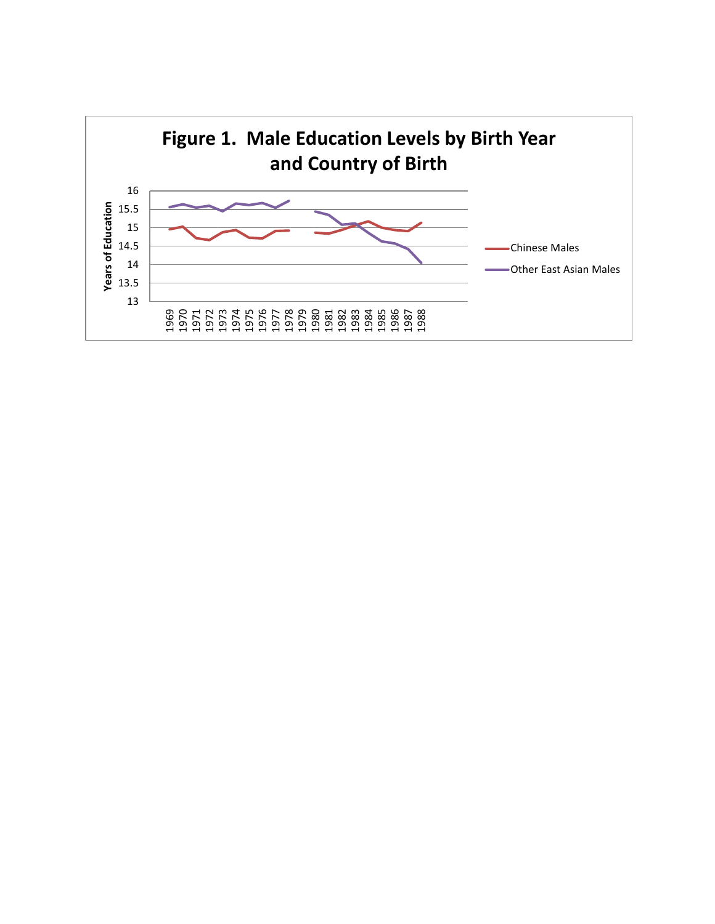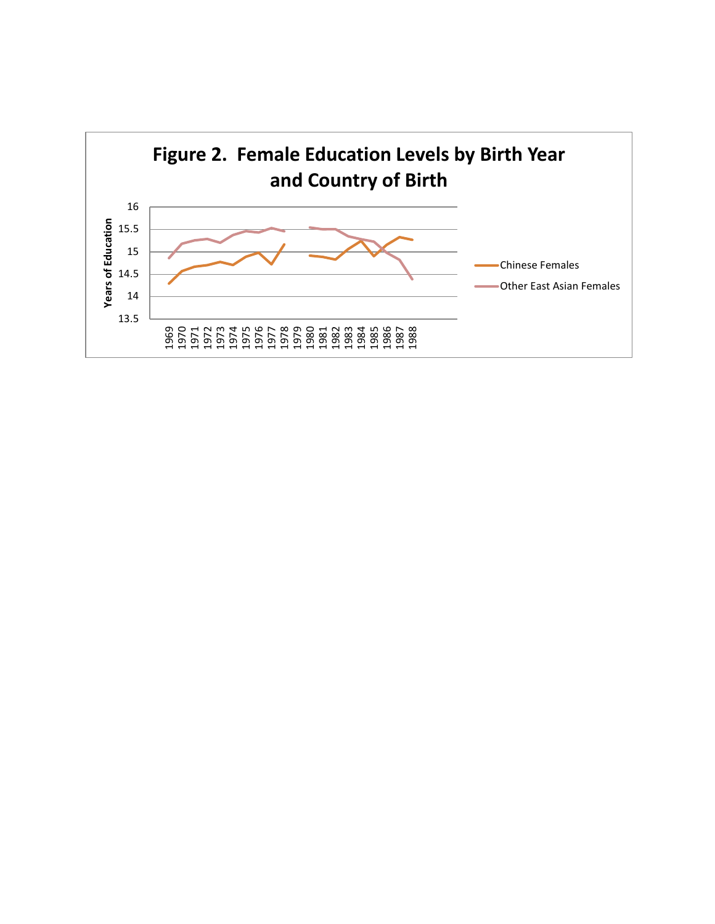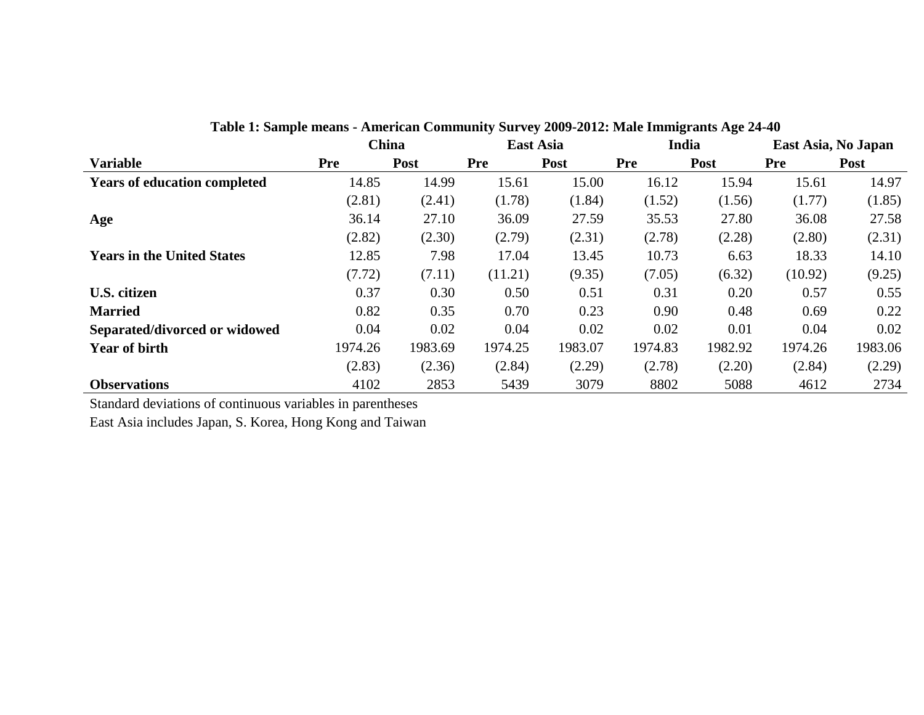|                                     |            | <b>China</b> | <b>East Asia</b> |         | India      |         | East Asia, No Japan |             |
|-------------------------------------|------------|--------------|------------------|---------|------------|---------|---------------------|-------------|
| <b>Variable</b>                     | <b>Pre</b> | Post         | <b>Pre</b>       | Post    | <b>Pre</b> | Post    | Pre                 | <b>Post</b> |
| <b>Years of education completed</b> | 14.85      | 14.99        | 15.61            | 15.00   | 16.12      | 15.94   | 15.61               | 14.97       |
|                                     | (2.81)     | (2.41)       | (1.78)           | (1.84)  | (1.52)     | (1.56)  | (1.77)              | (1.85)      |
| Age                                 | 36.14      | 27.10        | 36.09            | 27.59   | 35.53      | 27.80   | 36.08               | 27.58       |
|                                     | (2.82)     | (2.30)       | (2.79)           | (2.31)  | (2.78)     | (2.28)  | (2.80)              | (2.31)      |
| <b>Years in the United States</b>   | 12.85      | 7.98         | 17.04            | 13.45   | 10.73      | 6.63    | 18.33               | 14.10       |
|                                     | (7.72)     | (7.11)       | (11.21)          | (9.35)  | (7.05)     | (6.32)  | (10.92)             | (9.25)      |
| U.S. citizen                        | 0.37       | 0.30         | 0.50             | 0.51    | 0.31       | 0.20    | 0.57                | 0.55        |
| <b>Married</b>                      | 0.82       | 0.35         | 0.70             | 0.23    | 0.90       | 0.48    | 0.69                | 0.22        |
| Separated/divorced or widowed       | 0.04       | 0.02         | 0.04             | 0.02    | 0.02       | 0.01    | 0.04                | 0.02        |
| <b>Year of birth</b>                | 1974.26    | 1983.69      | 1974.25          | 1983.07 | 1974.83    | 1982.92 | 1974.26             | 1983.06     |
|                                     | (2.83)     | (2.36)       | (2.84)           | (2.29)  | (2.78)     | (2.20)  | (2.84)              | (2.29)      |
| <b>Observations</b>                 | 4102       | 2853         | 5439             | 3079    | 8802       | 5088    | 4612                | 2734        |

**Table 1: Sample means - American Community Survey 2009-2012: Male Immigrants Age 24-40** 

Standard deviations of continuous variables in parentheses

East Asia includes Japan, S. Korea, Hong Kong and Taiwan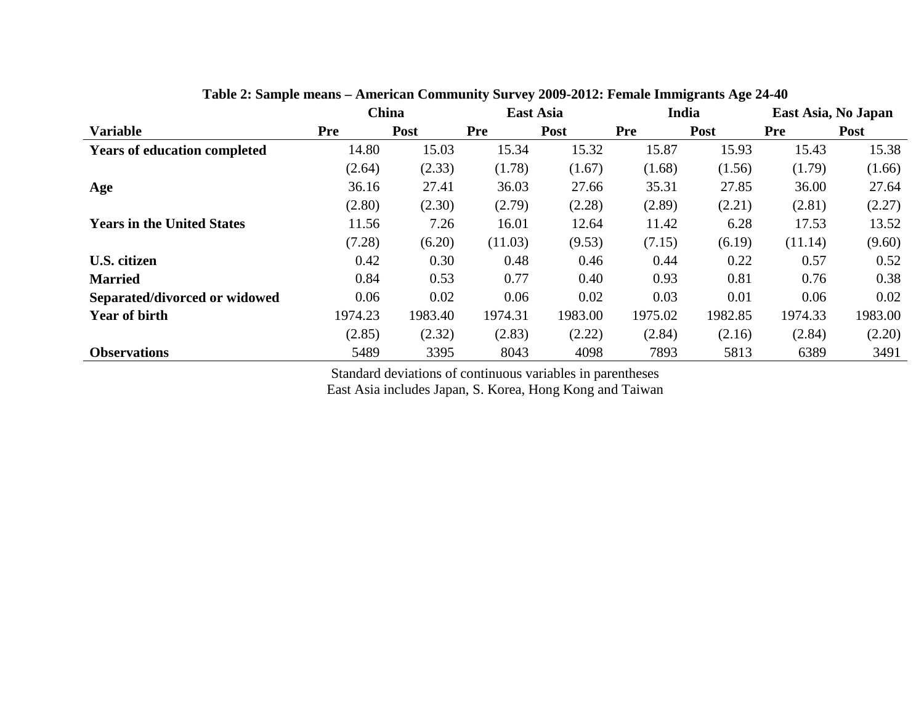|                                     |         | China   | <b>East Asia</b> |         | India      |         | East Asia, No Japan |         |
|-------------------------------------|---------|---------|------------------|---------|------------|---------|---------------------|---------|
| <b>Variable</b>                     | Pre     | Post    | <b>Pre</b>       | Post    | <b>Pre</b> | Post    | <b>Pre</b>          | Post    |
| <b>Years of education completed</b> | 14.80   | 15.03   | 15.34            | 15.32   | 15.87      | 15.93   | 15.43               | 15.38   |
|                                     | (2.64)  | (2.33)  | (1.78)           | (1.67)  | (1.68)     | (1.56)  | (1.79)              | (1.66)  |
| Age                                 | 36.16   | 27.41   | 36.03            | 27.66   | 35.31      | 27.85   | 36.00               | 27.64   |
|                                     | (2.80)  | (2.30)  | (2.79)           | (2.28)  | (2.89)     | (2.21)  | (2.81)              | (2.27)  |
| <b>Years in the United States</b>   | 11.56   | 7.26    | 16.01            | 12.64   | 11.42      | 6.28    | 17.53               | 13.52   |
|                                     | (7.28)  | (6.20)  | (11.03)          | (9.53)  | (7.15)     | (6.19)  | (11.14)             | (9.60)  |
| U.S. citizen                        | 0.42    | 0.30    | 0.48             | 0.46    | 0.44       | 0.22    | 0.57                | 0.52    |
| <b>Married</b>                      | 0.84    | 0.53    | 0.77             | 0.40    | 0.93       | 0.81    | 0.76                | 0.38    |
| Separated/divorced or widowed       | 0.06    | 0.02    | 0.06             | 0.02    | 0.03       | 0.01    | 0.06                | 0.02    |
| <b>Year of birth</b>                | 1974.23 | 1983.40 | 1974.31          | 1983.00 | 1975.02    | 1982.85 | 1974.33             | 1983.00 |
|                                     | (2.85)  | (2.32)  | (2.83)           | (2.22)  | (2.84)     | (2.16)  | (2.84)              | (2.20)  |
| <b>Observations</b>                 | 5489    | 3395    | 8043             | 4098    | 7893       | 5813    | 6389                | 3491    |

**Table 2: Sample means – American Community Survey 2009-2012: Female Immigrants Age 24-40** 

Standard deviations of continuous variables in parentheses

East Asia includes Japan, S. Korea, Hong Kong and Taiwan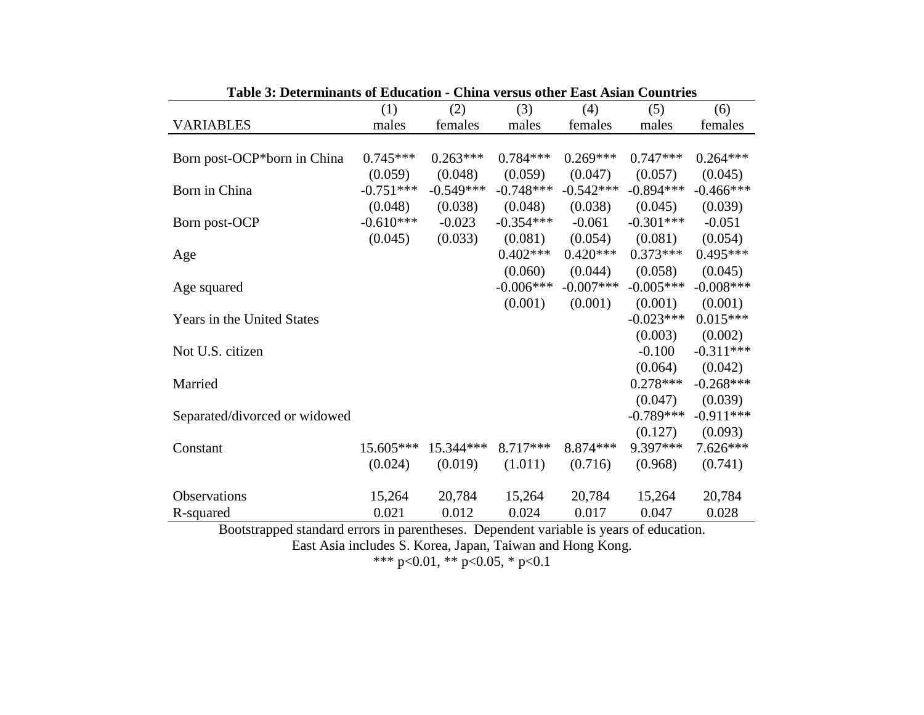| Table 5: Determinants of Equication - China versus quier East Asian Countries |             |                    |             |                                 |                               |             |
|-------------------------------------------------------------------------------|-------------|--------------------|-------------|---------------------------------|-------------------------------|-------------|
|                                                                               | (1)         | (2)                | (3)         | (4)                             | (5)                           | (6)         |
| <b>VARIABLES</b>                                                              | males       | females            | males       | females                         | males                         | females     |
|                                                                               |             |                    |             |                                 |                               |             |
| Born post-OCP*born in China                                                   | $0.745***$  | $0.263***$         | $0.784***$  | $0.269***$                      | $0.747***$                    | $0.264***$  |
|                                                                               | (0.059)     | (0.048)            | (0.059)     | (0.047)                         | (0.057)                       | (0.045)     |
| Born in China                                                                 | $-0.751***$ | $-0.549***$        | $-0.748***$ | $-0.542***$                     | $-0.894***$                   | $-0.466***$ |
|                                                                               | (0.048)     | (0.038)            | (0.048)     | (0.038)                         | (0.045)                       | (0.039)     |
| Born post-OCP                                                                 | $-0.610***$ | $-0.023$           | $-0.354***$ | $-0.061$                        | $-0.301***$                   | $-0.051$    |
|                                                                               | (0.045)     | (0.033)            | (0.081)     | (0.054)                         | (0.081)                       | (0.054)     |
| Age                                                                           |             |                    | $0.402***$  | $0.420***$                      | $0.373***$                    | $0.495***$  |
|                                                                               |             |                    | (0.060)     | (0.044)                         | (0.058)                       | (0.045)     |
| Age squared                                                                   |             |                    | $-0.006***$ | $-0.007***$                     | $-0.005***$                   | $-0.008***$ |
|                                                                               |             |                    | (0.001)     | (0.001)                         | (0.001)                       | (0.001)     |
| Years in the United States                                                    |             |                    |             |                                 | $-0.023***$                   | $0.015***$  |
|                                                                               |             |                    |             |                                 | (0.003)                       | (0.002)     |
| Not U.S. citizen                                                              |             |                    |             |                                 | $-0.100$                      | $-0.311***$ |
|                                                                               |             |                    |             |                                 | (0.064)                       | (0.042)     |
| Married                                                                       |             |                    |             |                                 | $0.278***$                    | $-0.268***$ |
|                                                                               |             |                    |             |                                 | (0.047)                       | (0.039)     |
| Separated/divorced or widowed                                                 |             |                    |             |                                 | $-0.789***$                   | $-0.911***$ |
|                                                                               |             |                    |             |                                 | (0.127)                       | (0.093)     |
| Constant                                                                      | 15.605***   | 15.344***          | 8.717***    | 8.874 ***                       | 9.397***                      | 7.626***    |
|                                                                               | (0.024)     | (0.019)            | (1.011)     | (0.716)                         | (0.968)                       | (0.741)     |
|                                                                               |             |                    |             |                                 |                               |             |
| Observations                                                                  | 15,264      | 20,784             | 15,264      | 20,784                          | 15,264                        | 20,784      |
| R-squared                                                                     | 0.021       | 0.012              | 0.024       | 0.017                           | 0.047                         | 0.028       |
| $\mathbf{1}$<br>$1 \quad 1$<br>$\mathbf{r}$ $\mathbf{r}$                      |             | $\mathbf{\bar{n}}$ |             | $\cdot$ $\cdot$ $\cdot$ $\cdot$ | $\mathcal{C}$ 1 $\mathcal{C}$ |             |

Bootstrapped standard errors in parentheses. Dependent variable is years of education. East Asia includes S. Korea, Japan, Taiwan and Hong Kong.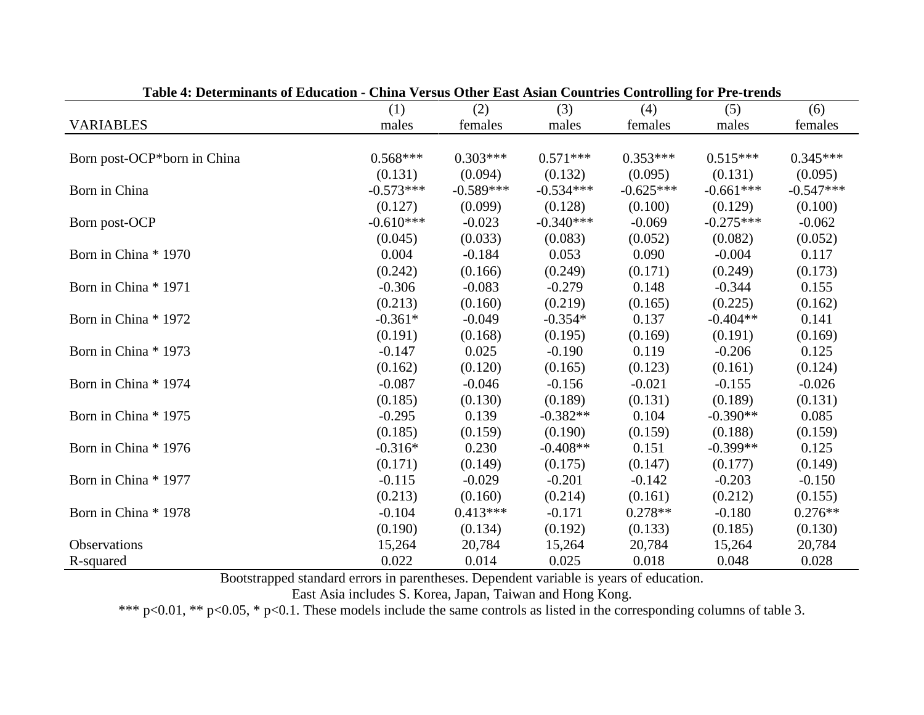| Table 4. Determinants of Education - China Versus Other East Asian Countries Controlling for Tre-trends |             |             |             |             |             |             |
|---------------------------------------------------------------------------------------------------------|-------------|-------------|-------------|-------------|-------------|-------------|
|                                                                                                         | (1)         | (2)         | (3)         | (4)         | (5)         | (6)         |
| <b>VARIABLES</b>                                                                                        | males       | females     | males       | females     | males       | females     |
|                                                                                                         |             |             |             |             |             |             |
| Born post-OCP*born in China                                                                             | $0.568***$  | $0.303***$  | $0.571***$  | $0.353***$  | $0.515***$  | $0.345***$  |
|                                                                                                         | (0.131)     | (0.094)     | (0.132)     | (0.095)     | (0.131)     | (0.095)     |
| Born in China                                                                                           | $-0.573***$ | $-0.589***$ | $-0.534***$ | $-0.625***$ | $-0.661***$ | $-0.547***$ |
|                                                                                                         | (0.127)     | (0.099)     | (0.128)     | (0.100)     | (0.129)     | (0.100)     |
| Born post-OCP                                                                                           | $-0.610***$ | $-0.023$    | $-0.340***$ | $-0.069$    | $-0.275***$ | $-0.062$    |
|                                                                                                         | (0.045)     | (0.033)     | (0.083)     | (0.052)     | (0.082)     | (0.052)     |
| Born in China * 1970                                                                                    | 0.004       | $-0.184$    | 0.053       | 0.090       | $-0.004$    | 0.117       |
|                                                                                                         | (0.242)     | (0.166)     | (0.249)     | (0.171)     | (0.249)     | (0.173)     |
| Born in China * 1971                                                                                    | $-0.306$    | $-0.083$    | $-0.279$    | 0.148       | $-0.344$    | 0.155       |
|                                                                                                         | (0.213)     | (0.160)     | (0.219)     | (0.165)     | (0.225)     | (0.162)     |
| Born in China * 1972                                                                                    | $-0.361*$   | $-0.049$    | $-0.354*$   | 0.137       | $-0.404**$  | 0.141       |
|                                                                                                         | (0.191)     | (0.168)     | (0.195)     | (0.169)     | (0.191)     | (0.169)     |
| Born in China * 1973                                                                                    | $-0.147$    | 0.025       | $-0.190$    | 0.119       | $-0.206$    | 0.125       |
|                                                                                                         | (0.162)     | (0.120)     | (0.165)     | (0.123)     | (0.161)     | (0.124)     |
| Born in China * 1974                                                                                    | $-0.087$    | $-0.046$    | $-0.156$    | $-0.021$    | $-0.155$    | $-0.026$    |
|                                                                                                         | (0.185)     | (0.130)     | (0.189)     | (0.131)     | (0.189)     | (0.131)     |
| Born in China * 1975                                                                                    | $-0.295$    | 0.139       | $-0.382**$  | 0.104       | $-0.390**$  | 0.085       |
|                                                                                                         | (0.185)     | (0.159)     | (0.190)     | (0.159)     | (0.188)     | (0.159)     |
| Born in China * 1976                                                                                    | $-0.316*$   | 0.230       | $-0.408**$  | 0.151       | $-0.399**$  | 0.125       |
|                                                                                                         | (0.171)     | (0.149)     | (0.175)     | (0.147)     | (0.177)     | (0.149)     |
| Born in China * 1977                                                                                    | $-0.115$    | $-0.029$    | $-0.201$    | $-0.142$    | $-0.203$    | $-0.150$    |
|                                                                                                         | (0.213)     | (0.160)     | (0.214)     | (0.161)     | (0.212)     | (0.155)     |
| Born in China * 1978                                                                                    | $-0.104$    | $0.413***$  | $-0.171$    | $0.278**$   | $-0.180$    | $0.276**$   |
|                                                                                                         | (0.190)     | (0.134)     | (0.192)     | (0.133)     | (0.185)     | (0.130)     |
| <b>Observations</b>                                                                                     | 15,264      | 20,784      | 15,264      | 20,784      | 15,264      | 20,784      |
| R-squared                                                                                               | 0.022       | 0.014       | 0.025       | 0.018       | 0.048       | 0.028       |

**Table 4: Determinants of Education - China Versus Other East Asian Countries Controlling for Pre-trends**

East Asia includes S. Korea, Japan, Taiwan and Hong Kong.

\*\*\* p<0.01, \*\* p<0.05, \* p<0.1. These models include the same controls as listed in the corresponding columns of table 3.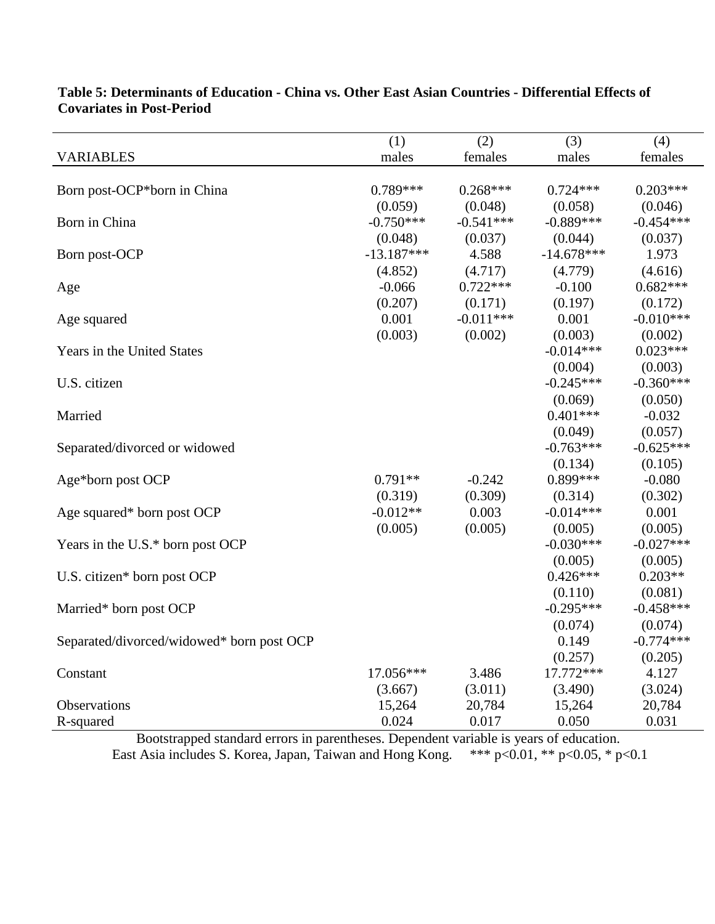|                                           | (1)          | (2)         | (3)          | (4)         |
|-------------------------------------------|--------------|-------------|--------------|-------------|
| <b>VARIABLES</b>                          | males        | females     | males        | females     |
|                                           |              |             |              |             |
| Born post-OCP*born in China               | $0.789***$   | $0.268***$  | $0.724***$   | $0.203***$  |
|                                           | (0.059)      | (0.048)     | (0.058)      | (0.046)     |
| Born in China                             | $-0.750***$  | $-0.541***$ | $-0.889***$  | $-0.454***$ |
|                                           | (0.048)      | (0.037)     | (0.044)      | (0.037)     |
| Born post-OCP                             | $-13.187***$ | 4.588       | $-14.678***$ | 1.973       |
|                                           | (4.852)      | (4.717)     | (4.779)      | (4.616)     |
| Age                                       | $-0.066$     | $0.722***$  | $-0.100$     | $0.682***$  |
|                                           | (0.207)      | (0.171)     | (0.197)      | (0.172)     |
| Age squared                               | 0.001        | $-0.011***$ | 0.001        | $-0.010***$ |
|                                           | (0.003)      | (0.002)     | (0.003)      | (0.002)     |
| Years in the United States                |              |             | $-0.014***$  | $0.023***$  |
|                                           |              |             | (0.004)      | (0.003)     |
| U.S. citizen                              |              |             | $-0.245***$  | $-0.360***$ |
|                                           |              |             | (0.069)      | (0.050)     |
| Married                                   |              |             | $0.401***$   | $-0.032$    |
|                                           |              |             | (0.049)      | (0.057)     |
| Separated/divorced or widowed             |              |             | $-0.763***$  | $-0.625***$ |
|                                           |              |             | (0.134)      | (0.105)     |
| Age*born post OCP                         | $0.791**$    | $-0.242$    | 0.899***     | $-0.080$    |
|                                           | (0.319)      | (0.309)     | (0.314)      | (0.302)     |
| Age squared* born post OCP                | $-0.012**$   | 0.003       | $-0.014***$  | 0.001       |
|                                           | (0.005)      | (0.005)     | (0.005)      | (0.005)     |
| Years in the U.S.* born post OCP          |              |             | $-0.030***$  | $-0.027***$ |
|                                           |              |             | (0.005)      | (0.005)     |
| U.S. citizen* born post OCP               |              |             | $0.426***$   | $0.203**$   |
|                                           |              |             | (0.110)      | (0.081)     |
| Married* born post OCP                    |              |             | $-0.295***$  | $-0.458***$ |
|                                           |              |             | (0.074)      | (0.074)     |
| Separated/divorced/widowed* born post OCP |              |             | 0.149        | $-0.774***$ |
|                                           |              |             | (0.257)      | (0.205)     |
| Constant                                  | 17.056***    | 3.486       | 17.772 ***   | 4.127       |
|                                           | (3.667)      | (3.011)     | (3.490)      | (3.024)     |
| Observations                              | 15,264       | 20,784      | 15,264       | 20,784      |
| R-squared                                 | 0.024        | 0.017       | 0.050        | 0.031       |

### **Table 5: Determinants of Education - China vs. Other East Asian Countries - Differential Effects of Covariates in Post-Period**

Bootstrapped standard errors in parentheses. Dependent variable is years of education. East Asia includes S. Korea, Japan, Taiwan and Hong Kong. \*\*\* p<0.01, \*\* p<0.05, \* p<0.1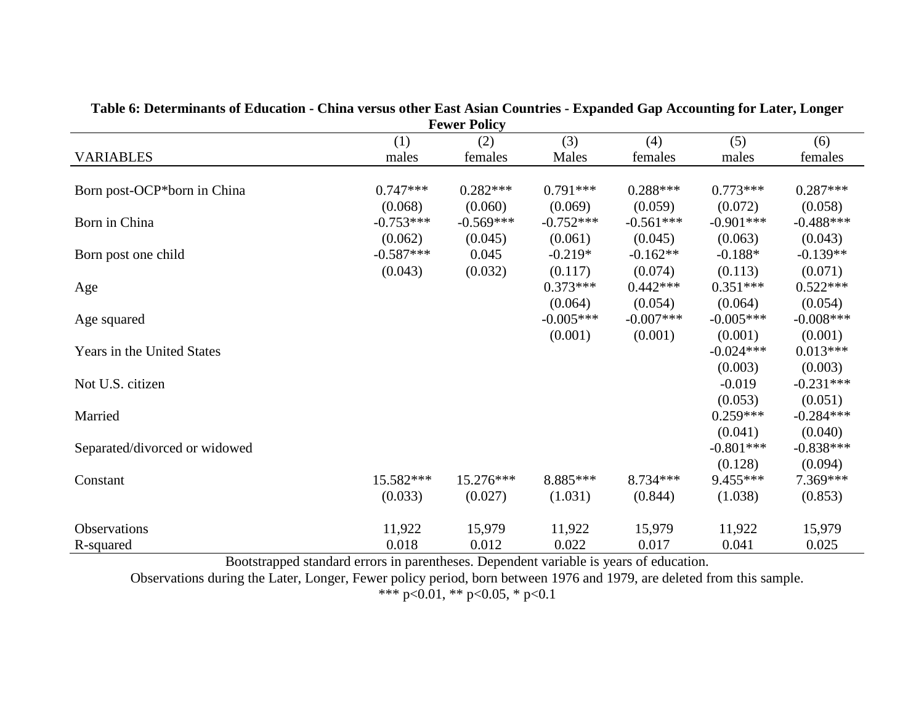|                                        |             | <b>Fewer Policy</b> |             |              |             |             |  |  |  |
|----------------------------------------|-------------|---------------------|-------------|--------------|-------------|-------------|--|--|--|
| (3)<br>(5)<br>(4)<br>(6)<br>(1)<br>(2) |             |                     |             |              |             |             |  |  |  |
| <b>VARIABLES</b>                       | males       | females             | Males       | females      | males       | females     |  |  |  |
|                                        |             |                     |             |              |             |             |  |  |  |
| Born post-OCP*born in China            | $0.747***$  | $0.282***$          | $0.791***$  | $0.288***$   | $0.773***$  | $0.287***$  |  |  |  |
|                                        | (0.068)     | (0.060)             | (0.069)     | (0.059)      | (0.072)     | (0.058)     |  |  |  |
| Born in China                          | $-0.753***$ | $-0.569***$         | $-0.752***$ | $-0.561***$  | $-0.901***$ | $-0.488***$ |  |  |  |
|                                        | (0.062)     | (0.045)             | (0.061)     | (0.045)      | (0.063)     | (0.043)     |  |  |  |
| Born post one child                    | $-0.587***$ | 0.045               | $-0.219*$   | $-0.162**$   | $-0.188*$   | $-0.139**$  |  |  |  |
|                                        | (0.043)     | (0.032)             | (0.117)     | (0.074)      | (0.113)     | (0.071)     |  |  |  |
| Age                                    |             |                     | $0.373***$  | $0.442***$   | $0.351***$  | $0.522***$  |  |  |  |
|                                        |             |                     | (0.064)     | (0.054)      | (0.064)     | (0.054)     |  |  |  |
| Age squared                            |             |                     | $-0.005***$ | $-0.007$ *** | $-0.005***$ | $-0.008***$ |  |  |  |
|                                        |             |                     | (0.001)     | (0.001)      | (0.001)     | (0.001)     |  |  |  |
| Years in the United States             |             |                     |             |              | $-0.024***$ | $0.013***$  |  |  |  |
|                                        |             |                     |             |              | (0.003)     | (0.003)     |  |  |  |
| Not U.S. citizen                       |             |                     |             |              | $-0.019$    | $-0.231***$ |  |  |  |
|                                        |             |                     |             |              | (0.053)     | (0.051)     |  |  |  |
| Married                                |             |                     |             |              | $0.259***$  | $-0.284***$ |  |  |  |
|                                        |             |                     |             |              | (0.041)     | (0.040)     |  |  |  |
| Separated/divorced or widowed          |             |                     |             |              | $-0.801***$ | $-0.838***$ |  |  |  |
|                                        |             |                     |             |              | (0.128)     | (0.094)     |  |  |  |
| Constant                               | 15.582***   | 15.276***           | 8.885***    | $8.734***$   | 9.455***    | 7.369***    |  |  |  |
|                                        | (0.033)     | (0.027)             | (1.031)     | (0.844)      | (1.038)     | (0.853)     |  |  |  |
| Observations                           | 11,922      | 15,979              | 11,922      | 15,979       | 11,922      | 15,979      |  |  |  |
| R-squared                              | 0.018       | 0.012               | 0.022       | 0.017        | 0.041       | 0.025       |  |  |  |

**Table 6: Determinants of Education - China versus other East Asian Countries - Expanded Gap Accounting for Later, Longer** 

Observations during the Later, Longer, Fewer policy period, born between 1976 and 1979, are deleted from this sample.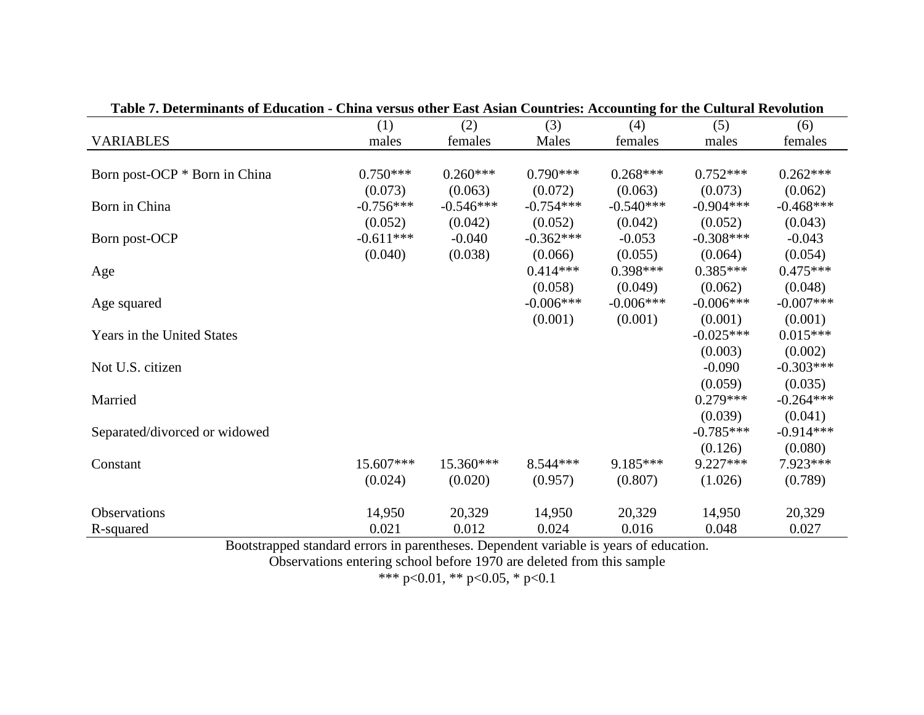| Table 7. Determinativ of Education • China versus other East Asian Countries. Accounting for the Cultural Kevolution |             |             |             |             |             |             |
|----------------------------------------------------------------------------------------------------------------------|-------------|-------------|-------------|-------------|-------------|-------------|
|                                                                                                                      | (1)         | (2)         | (3)         | (4)         | (5)         | (6)         |
| <b>VARIABLES</b>                                                                                                     | males       | females     | Males       | females     | males       | females     |
|                                                                                                                      |             |             |             |             |             |             |
| Born post-OCP * Born in China                                                                                        | $0.750***$  | $0.260***$  | $0.790***$  | $0.268***$  | $0.752***$  | $0.262***$  |
|                                                                                                                      | (0.073)     | (0.063)     | (0.072)     | (0.063)     | (0.073)     | (0.062)     |
| Born in China                                                                                                        | $-0.756***$ | $-0.546***$ | $-0.754***$ | $-0.540***$ | $-0.904***$ | $-0.468***$ |
|                                                                                                                      | (0.052)     | (0.042)     | (0.052)     | (0.042)     | (0.052)     | (0.043)     |
| Born post-OCP                                                                                                        | $-0.611***$ | $-0.040$    | $-0.362***$ | $-0.053$    | $-0.308***$ | $-0.043$    |
|                                                                                                                      | (0.040)     | (0.038)     | (0.066)     | (0.055)     | (0.064)     | (0.054)     |
| Age                                                                                                                  |             |             | $0.414***$  | $0.398***$  | $0.385***$  | $0.475***$  |
|                                                                                                                      |             |             | (0.058)     | (0.049)     | (0.062)     | (0.048)     |
| Age squared                                                                                                          |             |             | $-0.006***$ | $-0.006***$ | $-0.006***$ | $-0.007***$ |
|                                                                                                                      |             |             | (0.001)     | (0.001)     | (0.001)     | (0.001)     |
| <b>Years in the United States</b>                                                                                    |             |             |             |             | $-0.025***$ | $0.015***$  |
|                                                                                                                      |             |             |             |             | (0.003)     | (0.002)     |
| Not U.S. citizen                                                                                                     |             |             |             |             | $-0.090$    | $-0.303***$ |
|                                                                                                                      |             |             |             |             | (0.059)     | (0.035)     |
| Married                                                                                                              |             |             |             |             | $0.279***$  | $-0.264***$ |
|                                                                                                                      |             |             |             |             | (0.039)     | (0.041)     |
| Separated/divorced or widowed                                                                                        |             |             |             |             | $-0.785***$ | $-0.914***$ |
|                                                                                                                      |             |             |             |             | (0.126)     | (0.080)     |
| Constant                                                                                                             | 15.607***   | 15.360***   | $8.544***$  | $9.185***$  | $9.227***$  | 7.923 ***   |
|                                                                                                                      | (0.024)     | (0.020)     | (0.957)     | (0.807)     | (1.026)     | (0.789)     |
| Observations                                                                                                         | 14,950      | 20,329      | 14,950      | 20,329      | 14,950      | 20,329      |
| R-squared                                                                                                            | 0.021       | 0.012       | 0.024       | 0.016       | 0.048       | 0.027       |
|                                                                                                                      |             |             |             |             |             |             |

**Table 7. Determinants of Education - China versus other East Asian Countries: Accounting for the Cultural Revolution**

Observations entering school before 1970 are deleted from this sample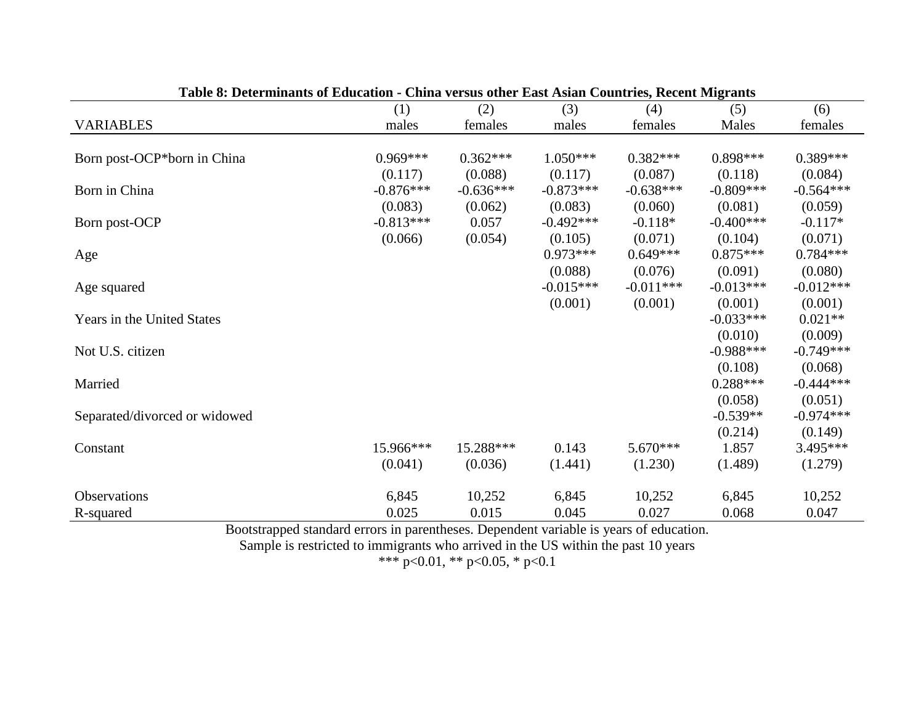|                               | (1)         | енна тегзаз опісі тазі тізні соціптіся, ісесні впераніз<br>(2) | (3)         | (4)         | (5)         | (6)         |
|-------------------------------|-------------|----------------------------------------------------------------|-------------|-------------|-------------|-------------|
| <b>VARIABLES</b>              | males       | females                                                        | males       | females     | Males       | females     |
|                               |             |                                                                |             |             |             |             |
| Born post-OCP*born in China   | $0.969***$  | $0.362***$                                                     | $1.050***$  | $0.382***$  | $0.898***$  | $0.389***$  |
|                               | (0.117)     | (0.088)                                                        | (0.117)     | (0.087)     | (0.118)     | (0.084)     |
| Born in China                 | $-0.876***$ | $-0.636***$                                                    | $-0.873***$ | $-0.638***$ | $-0.809***$ | $-0.564***$ |
|                               | (0.083)     | (0.062)                                                        | (0.083)     | (0.060)     | (0.081)     | (0.059)     |
| Born post-OCP                 | $-0.813***$ | 0.057                                                          | $-0.492***$ | $-0.118*$   | $-0.400***$ | $-0.117*$   |
|                               | (0.066)     | (0.054)                                                        | (0.105)     | (0.071)     | (0.104)     | (0.071)     |
| Age                           |             |                                                                | $0.973***$  | $0.649***$  | $0.875***$  | $0.784***$  |
|                               |             |                                                                | (0.088)     | (0.076)     | (0.091)     | (0.080)     |
| Age squared                   |             |                                                                | $-0.015***$ | $-0.011***$ | $-0.013***$ | $-0.012***$ |
|                               |             |                                                                | (0.001)     | (0.001)     | (0.001)     | (0.001)     |
| Years in the United States    |             |                                                                |             |             | $-0.033***$ | $0.021**$   |
|                               |             |                                                                |             |             | (0.010)     | (0.009)     |
| Not U.S. citizen              |             |                                                                |             |             | $-0.988***$ | $-0.749***$ |
|                               |             |                                                                |             |             | (0.108)     | (0.068)     |
| Married                       |             |                                                                |             |             | $0.288***$  | $-0.444***$ |
|                               |             |                                                                |             |             | (0.058)     | (0.051)     |
| Separated/divorced or widowed |             |                                                                |             |             | $-0.539**$  | $-0.974***$ |
|                               |             |                                                                |             |             | (0.214)     | (0.149)     |
| Constant                      | 15.966***   | 15.288***                                                      | 0.143       | $5.670***$  | 1.857       | 3.495***    |
|                               | (0.041)     | (0.036)                                                        | (1.441)     | (1.230)     | (1.489)     | (1.279)     |
| <b>Observations</b>           | 6,845       | 10,252                                                         | 6,845       | 10,252      | 6,845       | 10,252      |
| R-squared                     | 0.025       | 0.015                                                          | 0.045       | 0.027       | 0.068       | 0.047       |

**Table 8: Determinants of Education - China versus other East Asian Countries, Recent Migrants**

Sample is restricted to immigrants who arrived in the US within the past 10 years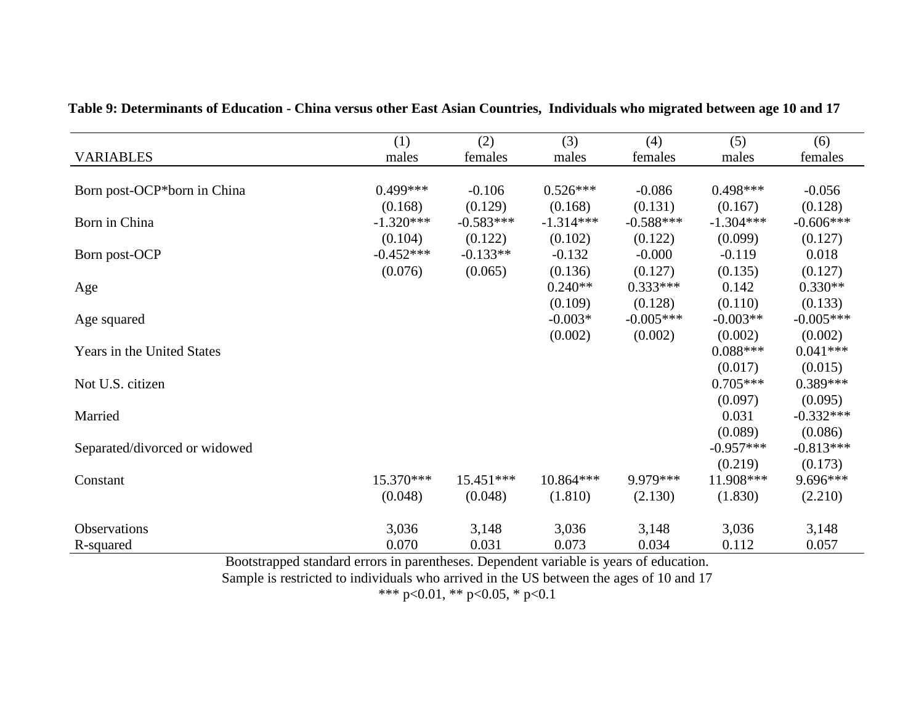|                               | (1)         | (2)         | (3)         | (4)         | (5)         | (6)         |
|-------------------------------|-------------|-------------|-------------|-------------|-------------|-------------|
| <b>VARIABLES</b>              | males       | females     | males       | females     | males       | females     |
|                               |             |             |             |             |             |             |
| Born post-OCP*born in China   | $0.499***$  | $-0.106$    | $0.526***$  | $-0.086$    | $0.498***$  | $-0.056$    |
|                               | (0.168)     | (0.129)     | (0.168)     | (0.131)     | (0.167)     | (0.128)     |
| Born in China                 | $-1.320***$ | $-0.583***$ | $-1.314***$ | $-0.588***$ | $-1.304***$ | $-0.606***$ |
|                               | (0.104)     | (0.122)     | (0.102)     | (0.122)     | (0.099)     | (0.127)     |
| Born post-OCP                 | $-0.452***$ | $-0.133**$  | $-0.132$    | $-0.000$    | $-0.119$    | 0.018       |
|                               | (0.076)     | (0.065)     | (0.136)     | (0.127)     | (0.135)     | (0.127)     |
| Age                           |             |             | $0.240**$   | $0.333***$  | 0.142       | $0.330**$   |
|                               |             |             | (0.109)     | (0.128)     | (0.110)     | (0.133)     |
| Age squared                   |             |             | $-0.003*$   | $-0.005***$ | $-0.003**$  | $-0.005***$ |
|                               |             |             | (0.002)     | (0.002)     | (0.002)     | (0.002)     |
| Years in the United States    |             |             |             |             | $0.088***$  | $0.041***$  |
|                               |             |             |             |             | (0.017)     | (0.015)     |
| Not U.S. citizen              |             |             |             |             | $0.705***$  | $0.389***$  |
|                               |             |             |             |             | (0.097)     | (0.095)     |
| Married                       |             |             |             |             | 0.031       | $-0.332***$ |
|                               |             |             |             |             | (0.089)     | (0.086)     |
| Separated/divorced or widowed |             |             |             |             | $-0.957***$ | $-0.813***$ |
|                               |             |             |             |             | (0.219)     | (0.173)     |
| Constant                      | $15.370***$ | 15.451***   | $10.864***$ | 9.979 ***   | 11.908***   | 9.696***    |
|                               | (0.048)     | (0.048)     | (1.810)     | (2.130)     | (1.830)     | (2.210)     |
| <b>Observations</b>           | 3,036       | 3,148       | 3,036       | 3,148       | 3,036       | 3,148       |
| R-squared                     | 0.070       | 0.031       | 0.073       | 0.034       | 0.112       | 0.057       |

**Table 9: Determinants of Education - China versus other East Asian Countries, Individuals who migrated between age 10 and 17**

Sample is restricted to individuals who arrived in the US between the ages of 10 and 17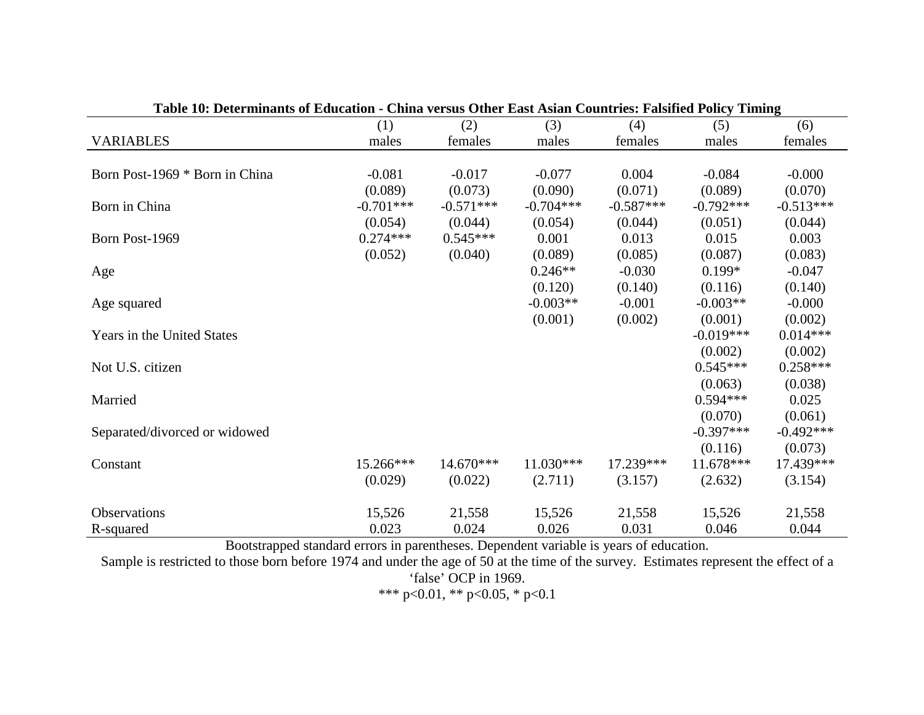| Table TV: Determinants of Equication - China versus Other East Asian Countries: Faishfed Foncy Thinnig |             |             |             |             |             |             |
|--------------------------------------------------------------------------------------------------------|-------------|-------------|-------------|-------------|-------------|-------------|
|                                                                                                        | (1)         | (2)         | (3)         | (4)         | (5)         | (6)         |
| <b>VARIABLES</b>                                                                                       | males       | females     | males       | females     | males       | females     |
|                                                                                                        |             |             |             |             |             |             |
| Born Post-1969 * Born in China                                                                         | $-0.081$    | $-0.017$    | $-0.077$    | 0.004       | $-0.084$    | $-0.000$    |
|                                                                                                        | (0.089)     | (0.073)     | (0.090)     | (0.071)     | (0.089)     | (0.070)     |
| Born in China                                                                                          | $-0.701***$ | $-0.571***$ | $-0.704***$ | $-0.587***$ | $-0.792***$ | $-0.513***$ |
|                                                                                                        | (0.054)     | (0.044)     | (0.054)     | (0.044)     | (0.051)     | (0.044)     |
| Born Post-1969                                                                                         | $0.274***$  | $0.545***$  | 0.001       | 0.013       | 0.015       | 0.003       |
|                                                                                                        | (0.052)     | (0.040)     | (0.089)     | (0.085)     | (0.087)     | (0.083)     |
| Age                                                                                                    |             |             | $0.246**$   | $-0.030$    | $0.199*$    | $-0.047$    |
|                                                                                                        |             |             | (0.120)     | (0.140)     | (0.116)     | (0.140)     |
| Age squared                                                                                            |             |             | $-0.003**$  | $-0.001$    | $-0.003**$  | $-0.000$    |
|                                                                                                        |             |             | (0.001)     | (0.002)     | (0.001)     | (0.002)     |
| Years in the United States                                                                             |             |             |             |             | $-0.019***$ | $0.014***$  |
|                                                                                                        |             |             |             |             | (0.002)     | (0.002)     |
| Not U.S. citizen                                                                                       |             |             |             |             | $0.545***$  | $0.258***$  |
|                                                                                                        |             |             |             |             | (0.063)     | (0.038)     |
| Married                                                                                                |             |             |             |             | $0.594***$  | 0.025       |
|                                                                                                        |             |             |             |             | (0.070)     | (0.061)     |
| Separated/divorced or widowed                                                                          |             |             |             |             | $-0.397***$ | $-0.492***$ |
|                                                                                                        |             |             |             |             | (0.116)     | (0.073)     |
| Constant                                                                                               | 15.266***   | $14.670***$ | 11.030***   | 17.239***   | $11.678***$ | 17.439***   |
|                                                                                                        | (0.029)     | (0.022)     | (2.711)     | (3.157)     | (2.632)     | (3.154)     |
|                                                                                                        |             |             |             |             |             |             |
| <b>Observations</b>                                                                                    | 15,526      | 21,558      | 15,526      | 21,558      | 15,526      | 21,558      |
| R-squared                                                                                              | 0.023       | 0.024       | 0.026       | 0.031       | 0.046       | 0.044       |

**Table 10: Determinants of Education - China versus Other East Asian Countries: Falsified Policy Timing**

Sample is restricted to those born before 1974 and under the age of 50 at the time of the survey. Estimates represent the effect of a 'false' OCP in 1969.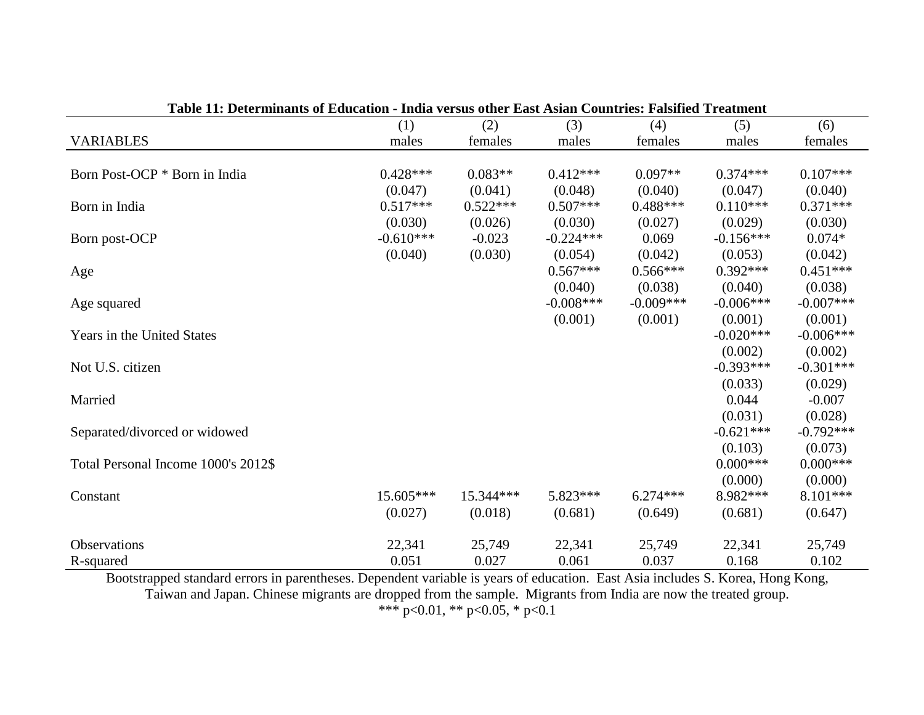|                                     | (1)         | (2)        | (3)         | (4)         | (5)         | (6)         |
|-------------------------------------|-------------|------------|-------------|-------------|-------------|-------------|
| <b>VARIABLES</b>                    | males       | females    | males       | females     | males       | females     |
|                                     |             |            |             |             |             |             |
| Born Post-OCP * Born in India       | $0.428***$  | $0.083**$  | $0.412***$  | $0.097**$   | $0.374***$  | $0.107***$  |
|                                     | (0.047)     | (0.041)    | (0.048)     | (0.040)     | (0.047)     | (0.040)     |
| Born in India                       | $0.517***$  | $0.522***$ | $0.507***$  | $0.488***$  | $0.110***$  | $0.371***$  |
|                                     | (0.030)     | (0.026)    | (0.030)     | (0.027)     | (0.029)     | (0.030)     |
| Born post-OCP                       | $-0.610***$ | $-0.023$   | $-0.224***$ | 0.069       | $-0.156***$ | $0.074*$    |
|                                     | (0.040)     | (0.030)    | (0.054)     | (0.042)     | (0.053)     | (0.042)     |
| Age                                 |             |            | $0.567***$  | $0.566***$  | $0.392***$  | $0.451***$  |
|                                     |             |            | (0.040)     | (0.038)     | (0.040)     | (0.038)     |
| Age squared                         |             |            | $-0.008***$ | $-0.009***$ | $-0.006***$ | $-0.007***$ |
|                                     |             |            | (0.001)     | (0.001)     | (0.001)     | (0.001)     |
| Years in the United States          |             |            |             |             | $-0.020***$ | $-0.006***$ |
|                                     |             |            |             |             | (0.002)     | (0.002)     |
| Not U.S. citizen                    |             |            |             |             | $-0.393***$ | $-0.301***$ |
|                                     |             |            |             |             | (0.033)     | (0.029)     |
| Married                             |             |            |             |             | 0.044       | $-0.007$    |
|                                     |             |            |             |             | (0.031)     | (0.028)     |
| Separated/divorced or widowed       |             |            |             |             | $-0.621***$ | $-0.792***$ |
|                                     |             |            |             |             | (0.103)     | (0.073)     |
| Total Personal Income 1000's 2012\$ |             |            |             |             | $0.000***$  | $0.000***$  |
|                                     |             |            |             |             | (0.000)     | (0.000)     |
| Constant                            | $15.605***$ | 15.344***  | 5.823***    | $6.274***$  | 8.982***    | 8.101***    |
|                                     | (0.027)     | (0.018)    | (0.681)     | (0.649)     | (0.681)     | (0.647)     |
| Observations                        | 22,341      | 25,749     | 22,341      | 25,749      | 22,341      | 25,749      |
| R-squared                           | 0.051       | 0.027      | 0.061       | 0.037       | 0.168       | 0.102       |

**Table 11: Determinants of Education - India versus other East Asian Countries: Falsified Treatment**

Bootstrapped standard errors in parentheses. Dependent variable is years of education. East Asia includes S. Korea, Hong Kong, Taiwan and Japan. Chinese migrants are dropped from the sample. Migrants from India are now the treated group. \*\*\* p<0.01, \*\* p<0.05, \* p<0.1